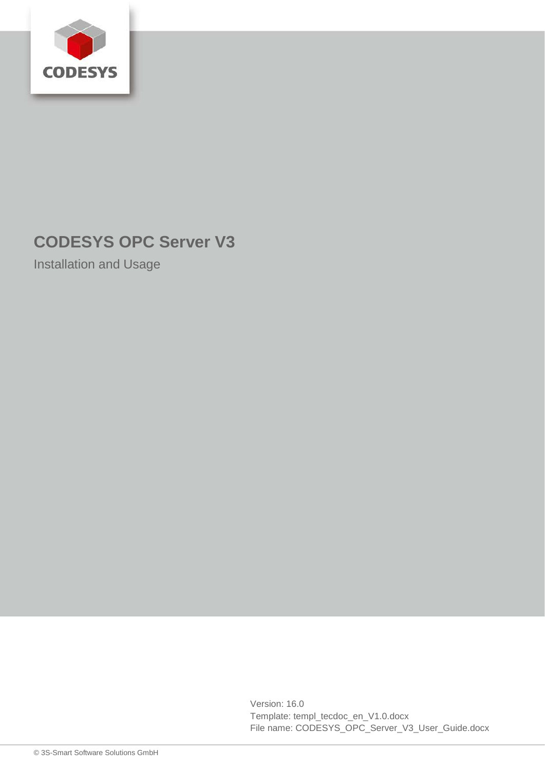

# **CODESYS OPC Server V3**

Installation and Usage

Version: 16.0 Template: templ\_tecdoc\_en\_V1.0.docx File name: CODESYS\_OPC\_Server\_V3\_User\_Guide.docx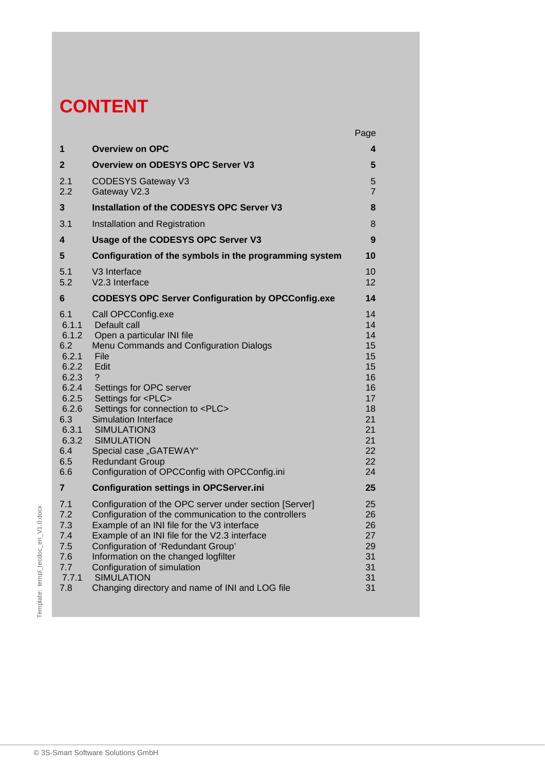# **CONTENT**

|                                                                |                                                                                                                                  |                                                                                                                                                                                                                                                                                                                                                                                                                  | Page                                                                                         |
|----------------------------------------------------------------|----------------------------------------------------------------------------------------------------------------------------------|------------------------------------------------------------------------------------------------------------------------------------------------------------------------------------------------------------------------------------------------------------------------------------------------------------------------------------------------------------------------------------------------------------------|----------------------------------------------------------------------------------------------|
|                                                                | $\mathbf 1$                                                                                                                      | <b>Overview on OPC</b>                                                                                                                                                                                                                                                                                                                                                                                           | 4                                                                                            |
|                                                                | $\mathbf{2}$                                                                                                                     | <b>Overview on ODESYS OPC Server V3</b>                                                                                                                                                                                                                                                                                                                                                                          | 5                                                                                            |
|                                                                | 2.1<br>2.2                                                                                                                       | <b>CODESYS Gateway V3</b><br>Gateway V2.3                                                                                                                                                                                                                                                                                                                                                                        | 5<br>$\overline{7}$                                                                          |
|                                                                | 3                                                                                                                                | Installation of the CODESYS OPC Server V3                                                                                                                                                                                                                                                                                                                                                                        | 8                                                                                            |
|                                                                | 3.1                                                                                                                              | Installation and Registration                                                                                                                                                                                                                                                                                                                                                                                    | 8                                                                                            |
|                                                                | 4                                                                                                                                | Usage of the CODESYS OPC Server V3                                                                                                                                                                                                                                                                                                                                                                               | 9                                                                                            |
|                                                                | 5                                                                                                                                | Configuration of the symbols in the programming system                                                                                                                                                                                                                                                                                                                                                           | 10                                                                                           |
|                                                                | 5.1<br>5.2                                                                                                                       | V <sub>3</sub> Interface<br>V2.3 Interface                                                                                                                                                                                                                                                                                                                                                                       | 10<br>12                                                                                     |
|                                                                | 6                                                                                                                                | <b>CODESYS OPC Server Configuration by OPCConfig.exe</b>                                                                                                                                                                                                                                                                                                                                                         | 14                                                                                           |
|                                                                | 6.1<br>6.1.1<br>6.1.2<br>6.2<br>6.2.1<br>6.2.2<br>6.2.3<br>6.2.4<br>6.2.5<br>6.2.6<br>6.3<br>6.3.1<br>6.3.2<br>6.4<br>6.5<br>6.6 | Call OPCConfig.exe<br>Default call<br>Open a particular INI file<br>Menu Commands and Configuration Dialogs<br>File<br>Edit<br>?<br>Settings for OPC server<br>Settings for <plc><br/>Settings for connection to <plc><br/><b>Simulation Interface</b><br/>SIMULATION3<br/><b>SIMULATION</b><br/>Special case "GATEWAY"<br/><b>Redundant Group</b><br/>Configuration of OPCConfig with OPCConfig.ini</plc></plc> | 14<br>14<br>14<br>15<br>15<br>15<br>16<br>16<br>17<br>18<br>21<br>21<br>21<br>22<br>22<br>24 |
|                                                                | $\overline{7}$                                                                                                                   | <b>Configuration settings in OPCServer.ini</b>                                                                                                                                                                                                                                                                                                                                                                   | 25                                                                                           |
| $V1.0.$ docx<br>$\overline{\Theta}$<br>Template: templ_tecdoc_ | 7.1<br>7.2<br>7.3<br>7.4<br>7.5<br>7.6<br>7.7<br>7.7.1<br>7.8                                                                    | Configuration of the OPC server under section [Server]<br>Configuration of the communication to the controllers<br>Example of an INI file for the V3 interface<br>Example of an INI file for the V2.3 interface<br>Configuration of 'Redundant Group'<br>Information on the changed logfilter<br>Configuration of simulation<br><b>SIMULATION</b><br>Changing directory and name of INI and LOG file             | 25<br>26<br>26<br>27<br>29<br>31<br>31<br>31<br>31                                           |
|                                                                |                                                                                                                                  | © 3S-Smart Software Solutions GmbH                                                                                                                                                                                                                                                                                                                                                                               |                                                                                              |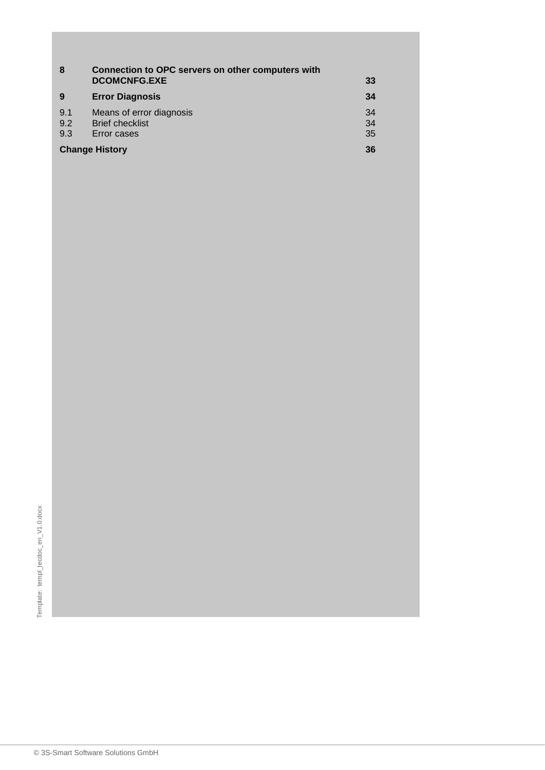| 8                     | Connection to OPC servers on other computers with<br><b>DCOMCNFG.EXE</b> | 33             |
|-----------------------|--------------------------------------------------------------------------|----------------|
| 9                     | <b>Error Diagnosis</b>                                                   | -34            |
| 9.1<br>9.2<br>9.3     | Means of error diagnosis<br><b>Brief checklist</b><br>Error cases        | 34<br>34<br>35 |
| <b>Change History</b> |                                                                          |                |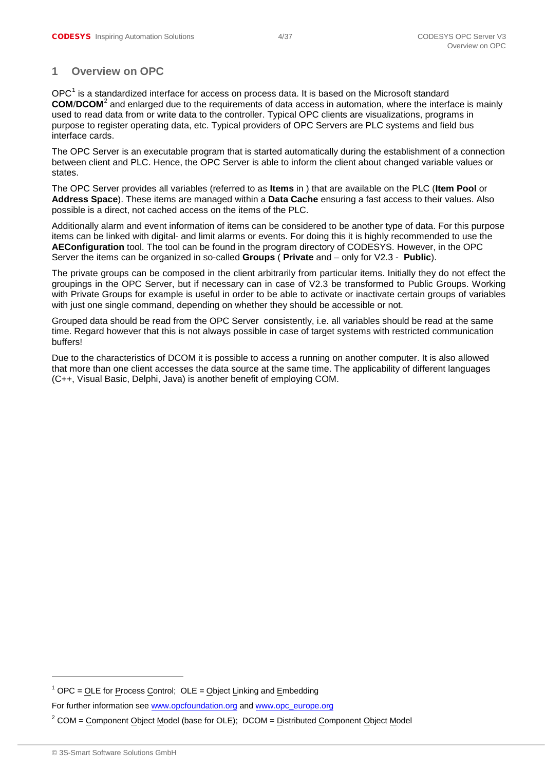# <span id="page-3-0"></span>**1 Overview on OPC**

 $OPC<sup>1</sup>$  $OPC<sup>1</sup>$  $OPC<sup>1</sup>$  is a standardized interface for access on process data. It is based on the Microsoft standard **COM**/**DCOM**[2](#page-4-3) and enlarged due to the requirements of data access in automation, where the interface is mainly used to read data from or write data to the controller. Typical OPC clients are visualizations, programs in purpose to register operating data, etc. Typical providers of OPC Servers are PLC systems and field bus interface cards.

The OPC Server is an executable program that is started automatically during the establishment of a connection between client and PLC. Hence, the OPC Server is able to inform the client about changed variable values or states.

The OPC Server provides all variables (referred to as **Items** in ) that are available on the PLC (**Item Pool** or **Address Space**). These items are managed within a **Data Cache** ensuring a fast access to their values. Also possible is a direct, not cached access on the items of the PLC.

Additionally alarm and event information of items can be considered to be another type of data. For this purpose items can be linked with digital- and limit alarms or events. For doing this it is highly recommended to use the **AEConfiguration** tool. The tool can be found in the program directory of CODESYS. However, in the OPC Server the items can be organized in so-called **Groups** ( **Private** and – only for V2.3 - **Public**).

The private groups can be composed in the client arbitrarily from particular items. Initially they do not effect the groupings in the OPC Server, but if necessary can in case of V2.3 be transformed to Public Groups. Working with Private Groups for example is useful in order to be able to activate or inactivate certain groups of variables with just one single command, depending on whether they should be accessible or not.

Grouped data should be read from the OPC Server consistently, i.e. all variables should be read at the same time. Regard however that this is not always possible in case of target systems with restricted communication buffers!

Due to the characteristics of DCOM it is possible to access a running on another computer. It is also allowed that more than one client accesses the data source at the same time. The applicability of different languages (C++, Visual Basic, Delphi, Java) is another benefit of employing COM.

-

 $1$  OPC = OLE for Process Control; OLE = Object Linking and Embedding

For further information see [www.opcfoundation.org](http://www.opcfoundation.org/) and [www.opc\\_europe.org](http://www.opc_europe.org/)

 $2^2$  COM = Component Object Model (base for OLE); DCOM = Distributed Component Object Model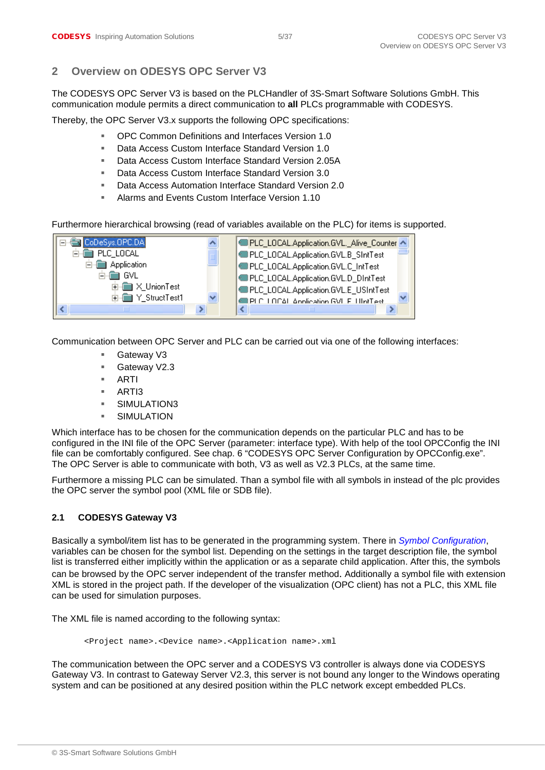# <span id="page-4-0"></span>**2 Overview on ODESYS OPC Server V3**

The CODESYS OPC Server V3 is based on the PLCHandler of 3S-Smart Software Solutions GmbH. This communication module permits a direct communication to **all** PLCs programmable with CODESYS.

Thereby, the OPC Server V3.x supports the following OPC specifications:

- OPC Common Definitions and Interfaces Version 1.0
- Data Access Custom Interface Standard Version 1.0
- Data Access Custom Interface Standard Version 2.05A
- Data Access Custom Interface Standard Version 3.0
- Data Access Automation Interface Standard Version 2.0
- Alarms and Events Custom Interface Version 1.10

Furthermore hierarchical browsing (read of variables available on the PLC) for items is supported.



Communication between OPC Server and PLC can be carried out via one of the following interfaces:

- Gateway V3
- Gateway V2.3
- ARTI
- ARTI3
- **SIMULATION3**
- SIMULATION

Which interface has to be chosen for the communication depends on the particular PLC and has to be configured in the INI file of the OPC Server (parameter: interface type). With help of the tool OPCConfig the INI file can be comfortably configured. See chap. 6 "CODESYS OPC Server Configuration by OPCConfig.exe". The OPC Server is able to communicate with both, V3 as well as V2.3 PLCs, at the same time.

Furthermore a missing PLC can be simulated. Than a symbol file with all symbols in instead of the plc provides the OPC server the symbol pool (XML file or SDB file).

#### <span id="page-4-1"></span>**2.1 CODESYS Gateway V3**

Basically a symbol/item list has to be generated in the programming system. There in *Symbol Configuration*, variables can be chosen for the symbol list. Depending on the settings in the target description file, the symbol list is transferred either implicitly within the application or as a separate child application. After this, the symbols can be browsed by the OPC server independent of the transfer method. Additionally a symbol file with extension XML is stored in the project path. If the developer of the visualization (OPC client) has not a PLC, this XML file can be used for simulation purposes.

The XML file is named according to the following syntax:

<Project name>.<Device name>.<Application name>.xml

<span id="page-4-3"></span><span id="page-4-2"></span>The communication between the OPC server and a CODESYS V3 controller is always done via CODESYS Gateway V3. In contrast to Gateway Server V2.3, this server is not bound any longer to the Windows operating system and can be positioned at any desired position within the PLC network except embedded PLCs.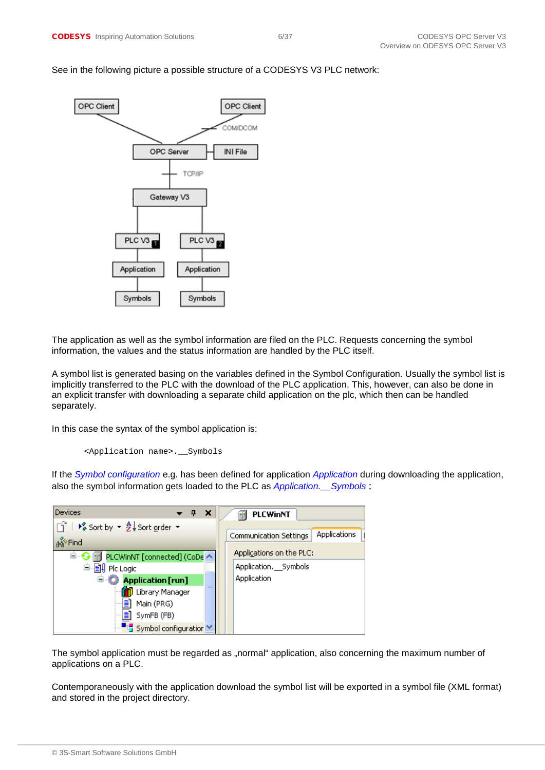#### See in the following picture a possible structure of a CODESYS V3 PLC network:



The application as well as the symbol information are filed on the PLC. Requests concerning the symbol information, the values and the status information are handled by the PLC itself.

A symbol list is generated basing on the variables defined in the Symbol Configuration. Usually the symbol list is implicitly transferred to the PLC with the download of the PLC application. This, however, can also be done in an explicit transfer with downloading a separate child application on the plc, which then can be handled separately.

In this case the syntax of the symbol application is:

```
<Application name>.__Symbols
```
If the *Symbol configuration* e.g. has been defined for application *Application* during downloading the application, also the symbol information gets loaded to the PLC as *Application.\_\_Symbols* :



The symbol application must be regarded as "normal" application, also concerning the maximum number of applications on a PLC.

Contemporaneously with the application download the symbol list will be exported in a symbol file (XML format) and stored in the project directory.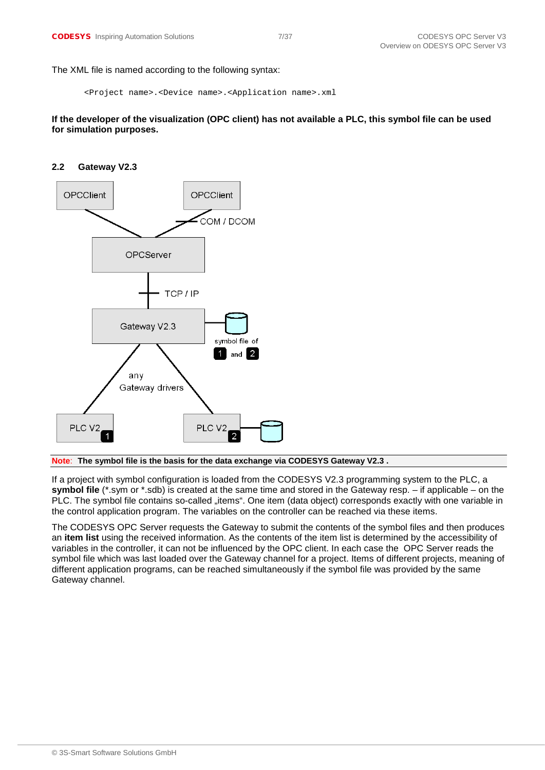The XML file is named according to the following syntax:

```
<Project name>.<Device name>.<Application name>.xml
```
**If the developer of the visualization (OPC client) has not available a PLC, this symbol file can be used for simulation purposes.**

#### <span id="page-6-0"></span>**2.2 Gateway V2.3**



**Note**: **The symbol file is the basis for the data exchange via CODESYS Gateway V2.3 .** 

If a project with symbol configuration is loaded from the CODESYS V2.3 programming system to the PLC, a **symbol file** (\*.sym or \*.sdb) is created at the same time and stored in the Gateway resp. – if applicable – on the PLC. The symbol file contains so-called "items". One item (data object) corresponds exactly with one variable in the control application program. The variables on the controller can be reached via these items.

The CODESYS OPC Server requests the Gateway to submit the contents of the symbol files and then produces an **item list** using the received information. As the contents of the item list is determined by the accessibility of variables in the controller, it can not be influenced by the OPC client. In each case the OPC Server reads the symbol file which was last loaded over the Gateway channel for a project. Items of different projects, meaning of different application programs, can be reached simultaneously if the symbol file was provided by the same Gateway channel.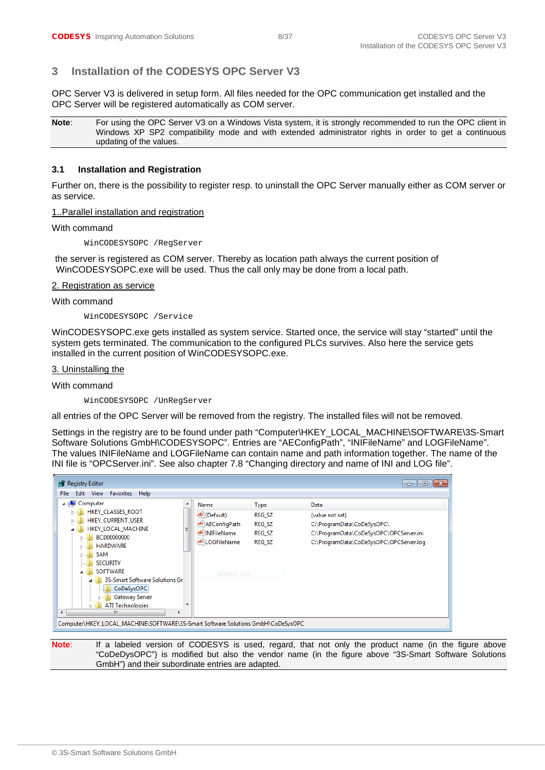# <span id="page-7-0"></span>**3 Installation of the CODESYS OPC Server V3**

OPC Server V3 is delivered in setup form. All files needed for the OPC communication get installed and the OPC Server will be registered automatically as COM server.

**Note:** For using the OPC Server V3 on a Windows Vista system, it is strongly recommended to run the OPC client in Windows XP SP2 compatibility mode and with extended administrator rights in order to get a continuous updating of the values.

#### <span id="page-7-1"></span>**3.1 Installation and Registration**

Further on, there is the possibility to register resp. to uninstall the OPC Server manually either as COM server or as service.

1..Parallel installation and registration

With command

WinCODESYSOPC /RegServer

the server is registered as COM server. Thereby as location path always the current position of WinCODESYSOPC.exe will be used. Thus the call only may be done from a local path.

#### 2. Registration as service

With command

WinCODESYSOPC /Service

WinCODESYSOPC.exe gets installed as system service. Started once, the service will stay "started" until the system gets terminated. The communication to the configured PLCs survives. Also here the service gets installed in the current position of WinCODESYSOPC.exe.

3. Uninstalling the

With command

WinCODESYSOPC /UnRegServer

all entries of the OPC Server will be removed from the registry. The installed files will not be removed.

Settings in the registry are to be found under path "Computer\HKEY\_LOCAL\_MACHINE\SOFTWARE\3S-Smart Software Solutions GmbH\CODESYSOPC". Entries are "AEConfigPath", "INIFileName" and LOGFileName". The values INIFileName and LOGFileName can contain name and path information together. The name of the INI file is "OPCServer.ini". See also chapter [7.8](#page-30-3) ["Changing directory and name of INI and LOG file"](#page-30-3).

| Registry Editor<br>$\begin{array}{c c c c c c} \hline \multicolumn{3}{c }{\mathbf{C}} & \multicolumn{3}{c }{\mathbf{C}} & \multicolumn{3}{c }{\mathbf{X}} \end{array}$                                                                                                                            |             |                                                                                            |                                                                   |                                                                                                                                             |  |
|---------------------------------------------------------------------------------------------------------------------------------------------------------------------------------------------------------------------------------------------------------------------------------------------------|-------------|--------------------------------------------------------------------------------------------|-------------------------------------------------------------------|---------------------------------------------------------------------------------------------------------------------------------------------|--|
| Edit View Favorites Help<br><b>File</b>                                                                                                                                                                                                                                                           |             |                                                                                            |                                                                   |                                                                                                                                             |  |
| 4 <b>July Computer</b><br><b>HKEY_CLASSES_ROOT</b><br><b>HKEY CURRENT USER</b><br>HKEY LOCAL MACHINE<br>BCD00000000<br><b>HARDWARE</b><br>SAM<br><b>SECURITY</b><br><b>SOFTWARE</b><br>3S-Smart Software Solutions Gr<br>CoDeSysOPC<br><b>Gateway Server</b><br><b>ATI Technologies</b><br>∢<br>ш | ▲<br>Ξ<br>٠ | Name<br>ab (Default)<br>ab AEConfigPath<br>ab INIFileName<br>ab LOGFileName<br>Window Snip | <b>Type</b><br><b>REG SZ</b><br>REG SZ<br>REG SZ<br><b>REG SZ</b> | Data<br>(value not set)<br>C:\ProgramData\CoDeSysOPC\<br>C:\ProgramData\CoDeSysOPC\OPCServer.ini<br>C:\ProgramData\CoDeSysOPC\OPCServer.log |  |
| Computer\HKEY_LOCAL_MACHINE\SOFTWARE\3S-Smart Software Solutions GmbH\CoDeSysOPC                                                                                                                                                                                                                  |             |                                                                                            |                                                                   |                                                                                                                                             |  |

Note: If a labeled version of CODESYS is used, regard, that not only the product name (in the figure above "CoDeDysOPC") is modified but also the vendor name (in the figure above "3S-Smart Software Solutions GmbH") and their subordinate entries are adapted.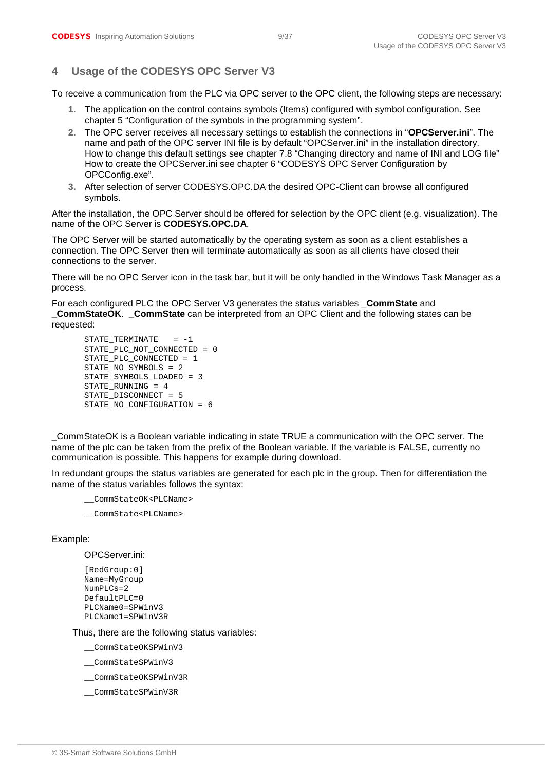# <span id="page-8-0"></span>**4 Usage of the CODESYS OPC Server V3**

To receive a communication from the PLC via OPC server to the OPC client, the following steps are necessary:

- **1.** The application on the control contains symbols (Items) configured with symbol configuration. See chapter 5 "Configuration of the symbols in the programming system".
- **2.** The OPC server receives all necessary settings to establish the connections in "**OPCServer.ini**". The name and path of the OPC server INI file is by default "OPCServer.ini" in the installation directory. How to change this default settings see chapter [7.8](#page-30-3) ["Changing directory and name of INI and LOG file"](#page-30-3) How to create the OPCServer.ini see chapter 6 "CODESYS OPC Server Configuration by OPCConfig.exe".
- **3.** After selection of server CODESYS.OPC.DA the desired OPC-Client can browse all configured symbols.

After the installation, the OPC Server should be offered for selection by the OPC client (e.g. visualization). The name of the OPC Server is **CODESYS.OPC.DA**.

The OPC Server will be started automatically by the operating system as soon as a client establishes a connection. The OPC Server then will terminate automatically as soon as all clients have closed their connections to the server.

There will be no OPC Server icon in the task bar, but it will be only handled in the Windows Task Manager as a process.

For each configured PLC the OPC Server V3 generates the status variables **CommState** and **\_CommStateOK**. **\_CommState** can be interpreted from an OPC Client and the following states can be requested:

```
STATE_TERMINATE = -1STATE_PLC_NOT_CONNECTED = 0
STATE_PLC_CONNECTED = 1
STATE_NO_SYMBOLS = 2
STATE_SYMBOLS_LOADED = 3
STATE_RUNNING = 4
STATE_DISCONNECT = 5
STATE_NO_CONFIGURATION = 6
```
\_CommStateOK is a Boolean variable indicating in state TRUE a communication with the OPC server. The name of the plc can be taken from the prefix of the Boolean variable. If the variable is FALSE, currently no communication is possible. This happens for example during download.

In redundant groups the status variables are generated for each plc in the group. Then for differentiation the name of the status variables follows the syntax:

```
__CommStateOK<PLCName>
```
\_\_CommState<PLCName>

#### Example:

#### OPCServer.ini:

```
[RedGroup:0]
Name=MyGroup
NumPLCs=2
DefaultPI.C=0PLCName0=SPWinV3
PLCName1=SPWinV3R
```
Thus, there are the following status variables:

\_\_CommStateOKSPWinV3

\_\_CommStateSPWinV3

- \_\_CommStateOKSPWinV3R
- \_\_CommStateSPWinV3R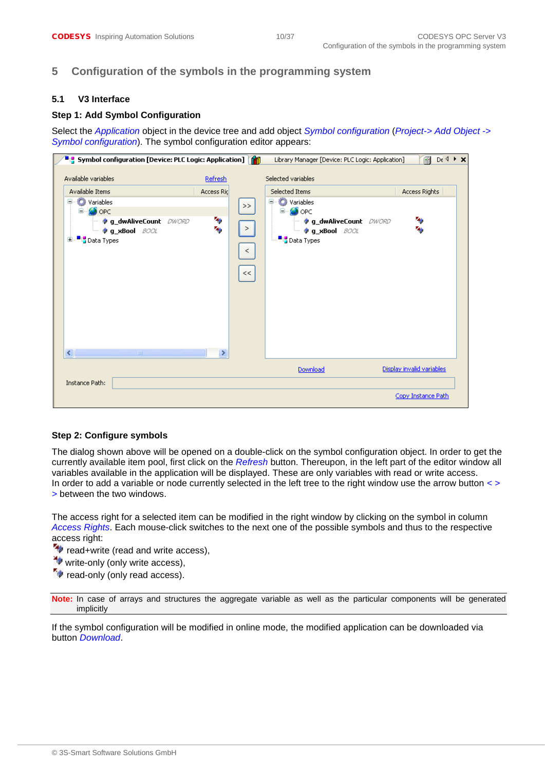# <span id="page-9-0"></span>**5 Configuration of the symbols in the programming system**

#### <span id="page-9-1"></span>**5.1 V3 Interface**

#### **Step 1: Add Symbol Configuration**

Select the *Application* object in the device tree and add object *Symbol configuration* (*Project-> Add Object -> Symbol configuration*). The symbol configuration editor appears:

|                                                                                                                                                                             |                                 |                    | Library Manager [Device: PLC Logic: Application]                                                                                                                       | $De 4 \rightarrow \times$<br>G |
|-----------------------------------------------------------------------------------------------------------------------------------------------------------------------------|---------------------------------|--------------------|------------------------------------------------------------------------------------------------------------------------------------------------------------------------|--------------------------------|
| Available variables<br>Available Items<br><b>C</b> Variables<br>ь<br><b>OPC</b><br><b><i>O</i></b> g_dwAliveCount DWORD<br><b>Og_xBool</b> BOOL<br><b>B</b> Data Types<br>Œ | Refresh<br>Access Ric<br>传<br>後 | >><br>><br>$\,<\,$ | Selected variables<br>Selected Items<br>Variables<br>Ξ<br><b>O</b> OPC<br>⊟…<br><b><i>g_dwAliveCount DWORD</i></b><br><b>Og_xBool</b> BOOL<br><sup>■1</sup> Data Types | Access Rights<br>传<br>٩,       |
| $\left\langle \cdot \right\rangle$<br><b>THE</b>                                                                                                                            | $\rightarrow$                   | $<<$               |                                                                                                                                                                        |                                |
| Instance Path:                                                                                                                                                              |                                 |                    | Download                                                                                                                                                               | Display invalid variables      |
|                                                                                                                                                                             |                                 |                    |                                                                                                                                                                        | Copy Instance Path             |

#### **Step 2: Configure symbols**

The dialog shown above will be opened on a double-click on the symbol configuration object. In order to get the currently available item pool, first click on the *Refresh* button. Thereupon, in the left part of the editor window all variables available in the application will be displayed. These are only variables with read or write access. In order to add a variable or node currently selected in the left tree to the right window use the arrow button *< > >* between the two windows.

The access right for a selected item can be modified in the right window by clicking on the symbol in column *Access Rights*. Each mouse-click switches to the next one of the possible symbols and thus to the respective access right:

- **\*** read+write (read and write access),
- $\rightarrow$  write-only (only write access),
- $\tilde{\mathcal{F}}$  read-only (only read access).

**Note:** In case of arrays and structures the aggregate variable as well as the particular components will be generated implicitly

If the symbol configuration will be modified in online mode, the modified application can be downloaded via button *Download*.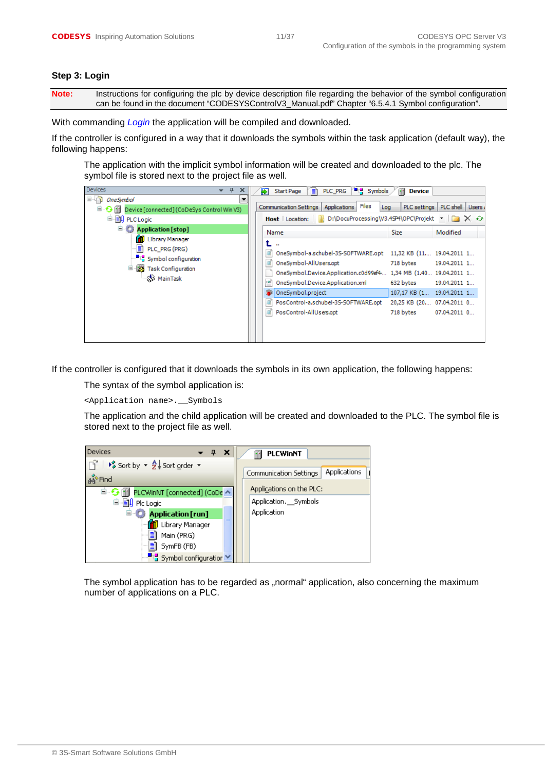#### **Step 3: Login**

**Note:** Instructions for configuring the plc by device description file regarding the behavior of the symbol configuration can be found in the document "CODESYSControlV3\_Manual.pdf" Chapter "6.5.4.1 Symbol configuration".

With commanding *Login* the application will be compiled and downloaded.

If the controller is configured in a way that it downloads the symbols within the task application (default way), the following happens:

The application with the implicit symbol information will be created and downloaded to the plc. The symbol file is stored next to the project file as well.

| <b>Devices</b><br>$\mathbf{\mu}$<br>×                                                                                 | <b>E</b> <sub>L</sub> Symbols<br>का<br>Ħ<br>PLC PRG<br>Start Page                                                                                                           | fн<br><b>Device</b>                                    |
|-----------------------------------------------------------------------------------------------------------------------|-----------------------------------------------------------------------------------------------------------------------------------------------------------------------------|--------------------------------------------------------|
| 日中<br><b>OneSymbol</b><br>▼                                                                                           |                                                                                                                                                                             |                                                        |
| □ G III Device [connected] (CoDeSys Control Win V3)                                                                   | Files<br><b>Communication Settings</b><br><b>Applications</b><br>Log                                                                                                        | PLC shell   Users<br>PLC settings                      |
| <b>国</b> ·图 PLCLogic                                                                                                  | <b>Host</b>   Location:       D:\DocuProcessing\V3.45P4\OPC\Projekt $\cdot$   $\rightarrow$ $\times$ $\leftrightarrow$                                                      |                                                        |
| <b>E Application</b> [stop]                                                                                           | Name                                                                                                                                                                        | Modified<br><b>Size</b>                                |
| <b>M</b> Library Manager<br>$\equiv$ PLC_PRG (PRG)<br>Fig. Symbol configuration<br><sup>二、</sup> 图 Task Configuration | $\mathbf{r}$<br>OneSymbol-a.schubel-3S-SOFTWARE.opt 11,32 KB (11 19.04.2011 1<br>OneSymbol-AllUsers.opt<br>OneSymbol.Device.Application.c0d99ef4 1,34 MB (1.40 19.04.2011 1 | 718 bytes<br>19.04.2011 1                              |
| ⊗ MainTask                                                                                                            | ≌<br>OneSymbol.Device.Application.xml<br>OneSymbol.project                                                                                                                  | 632 bytes<br>19.04.2011 1<br>107,17 KB (1 19.04.2011 1 |
|                                                                                                                       | PosControl-a.schubel-35-SOFTWARE.opt<br>PosControl-AllUsers.opt                                                                                                             | 20,25 KB (20 07.04.2011 0<br>718 bytes<br>07.04.2011 0 |

If the controller is configured that it downloads the symbols in its own application, the following happens:

The syntax of the symbol application is:

<Application name>.\_\_Symbols

The application and the child application will be created and downloaded to the PLC. The symbol file is stored next to the project file as well.



The symbol application has to be regarded as "normal" application, also concerning the maximum number of applications on a PLC.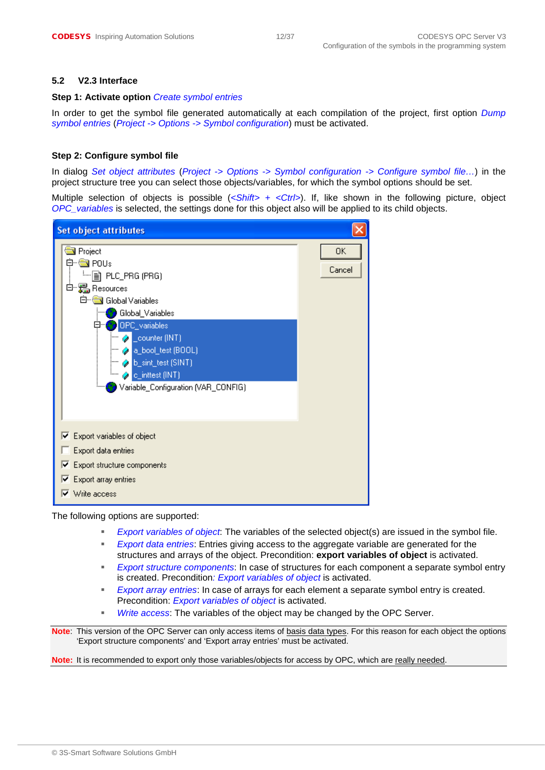#### <span id="page-11-0"></span>**5.2 V2.3 Interface**

#### **Step 1: Activate option** *Create symbol entries*

In order to get the symbol file generated automatically at each compilation of the project, first option *Dump symbol entries* (*Project -> Options -> Symbol configuration*) must be activated.

#### **Step 2: Configure symbol file**

In dialog *Set object attributes* (*Project -> Options -> Symbol configuration -> Configure symbol file…*) in the project structure tree you can select those objects/variables, for which the symbol options should be set.

Multiple selection of objects is possible (*<Shift> + <Ctrl>*). If, like shown in the following picture, object *OPC\_variables* is selected, the settings done for this object also will be applied to its child objects.



The following options are supported:

- *Export variables of object*: The variables of the selected object(s) are issued in the symbol file.
- *Export data entries*: Entries giving access to the aggregate variable are generated for the structures and arrays of the object. Precondition: **export variables of object** is activated.
- *Export structure components*: In case of structures for each component a separate symbol entry is created. Precondition*: Export variables of object* is activated.
- *Export array entries*: In case of arrays for each element a separate symbol entry is created. Precondition: *Export variables of object* is activated.
- *Write access*: The variables of the object may be changed by the OPC Server.

**Note**: This version of the OPC Server can only access items of basis data types. For this reason for each object the options 'Export structure components' and 'Export array entries' must be activated.

**Note:** It is recommended to export only those variables/objects for access by OPC, which are really needed.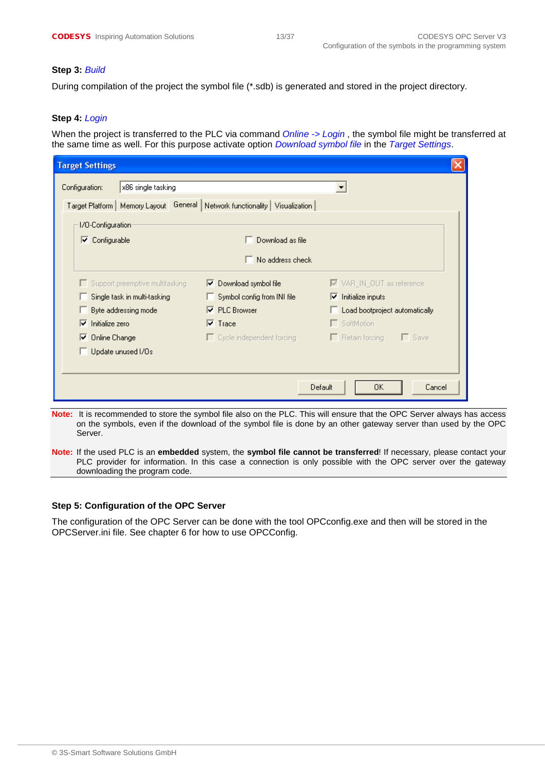#### **Step 3:** *Build*

During compilation of the project the symbol file (\*.sdb) is generated and stored in the project directory.

#### **Step 4:** *Login*

When the project is transferred to the PLC via command *Online -> Login* , the symbol file might be transferred at the same time as well. For this purpose activate option *Download symbol file* in the *Target Settings*.

| <b>Target Settings</b>                                                            |                                       |                                   |
|-----------------------------------------------------------------------------------|---------------------------------------|-----------------------------------|
| x86 single tasking<br>Configuration:                                              |                                       |                                   |
| Target Platform   Memory Layout   General   Network functionality   Visualization |                                       |                                   |
| 1/0-Configuration                                                                 |                                       |                                   |
| Configurable<br>⊽                                                                 | Download as file                      |                                   |
|                                                                                   | No address check                      |                                   |
| Support preemptive multitasking                                                   | $\triangleright$ Download symbol file | M VAR_IN_OUT as reference         |
| Single task in multi-tasking                                                      | Symbol config from INI file           | $\nabla$ Initialize inputs        |
| Byte addressing mode                                                              | $\nabla$ PLC Browser                  | Load bootproject automatically    |
| ⊽<br>Initialize zero                                                              | $\nabla$ Trace                        | □ SoftMotion                      |
| $\nabla$ Online Change                                                            | $\Box$ Cycle independent forcing      | – Γ Save<br>$\Box$ Retain forcing |
| Update unused I/Os                                                                |                                       |                                   |
|                                                                                   |                                       |                                   |
|                                                                                   | Default                               | Cancel<br>OK.                     |
|                                                                                   |                                       |                                   |

- **Note:** It is recommended to store the symbol file also on the PLC. This will ensure that the OPC Server always has access on the symbols, even if the download of the symbol file is done by an other gateway server than used by the OPC Server.
- **Note:** If the used PLC is an **embedded** system, the **symbol file cannot be transferred**! If necessary, please contact your PLC provider for information. In this case a connection is only possible with the OPC server over the gateway downloading the program code.

#### **Step 5: Configuration of the OPC Server**

The configuration of the OPC Server can be done with the tool OPCconfig.exe and then will be stored in the OPCServer.ini file. See chapter [6](#page-13-0) for how to use OPCConfig.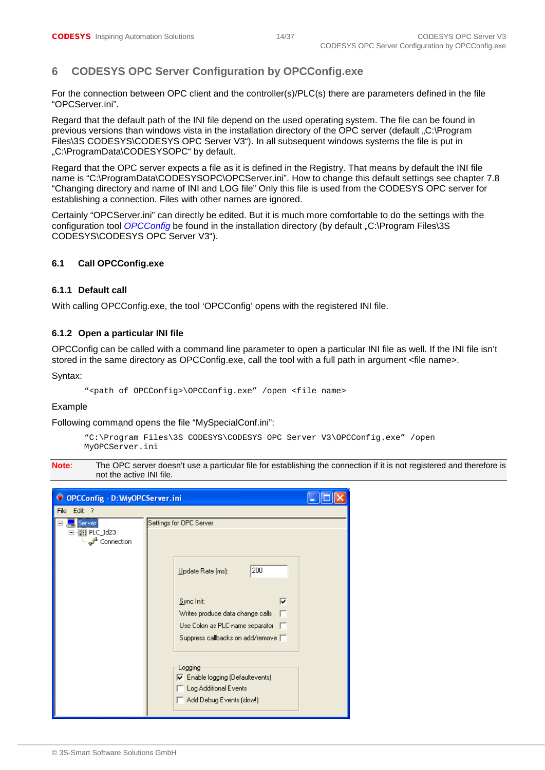# <span id="page-13-0"></span>**6 CODESYS OPC Server Configuration by OPCConfig.exe**

For the connection between OPC client and the controller(s)/PLC(s) there are parameters defined in the file "OPCServer.ini".

Regard that the default path of the INI file depend on the used operating system. The file can be found in previous versions than windows vista in the installation directory of the OPC server (default "C:\Program Files\3S CODESYS\CODESYS OPC Server V3"). In all subsequent windows systems the file is put in "C:\ProgramData\CODESYSOPC" by default.

Regard that the OPC server expects a file as it is defined in the Registry. That means by default the INI file name is "C:\ProgramData\CODESYSOPC\OPCServer.ini". How to change this default settings see chapter [7.8](#page-30-3) ["Changing directory and name of INI and LOG file"](#page-30-3) Only this file is used from the CODESYS OPC server for establishing a connection. Files with other names are ignored.

Certainly "OPCServer.ini" can directly be edited. But it is much more comfortable to do the settings with the configuration tool *OPCConfig* be found in the installation directory (by default "C:\Program Files\3S CODESYS\CODESYS OPC Server V3").

#### <span id="page-13-1"></span>**6.1 Call OPCConfig.exe**

#### <span id="page-13-2"></span>**6.1.1 Default call**

With calling OPCConfig.exe, the tool 'OPCConfig' opens with the registered INI file.

#### <span id="page-13-3"></span>**6.1.2 Open a particular INI file**

OPCConfig can be called with a command line parameter to open a particular INI file as well. If the INI file isn't stored in the same directory as OPCConfig.exe, call the tool with a full path in argument <file name>.

Syntax:

```
"<path of OPCConfig>\OPCConfig.exe" /open <file name>
```
#### Example

Following command opens the file "MySpecialConf.ini":

```
"C:\Program Files\3S CODESYS\CODESYS OPC Server V3\OPCConfig.exe" /open 
MyOPCServer.ini
```
**Note:** The OPC server doesn't use a particular file for establishing the connection if it is not registered and therefore is not the active INI file.

| © OPCConfig - D: MyOPCServer.ini                        |                                                                                                                                                                                                                                                                                                                          |  |  |  |
|---------------------------------------------------------|--------------------------------------------------------------------------------------------------------------------------------------------------------------------------------------------------------------------------------------------------------------------------------------------------------------------------|--|--|--|
| File Edit ?                                             |                                                                                                                                                                                                                                                                                                                          |  |  |  |
| Server<br>⊪∭∦ PLC_Id23<br>— <mark>م</mark> ∱ Connection | Settings for OPC Server<br>200<br>Update Rate [ms]:<br>Sync Init:<br> ⊽<br>Writes produce data change calls<br>Use Colon as PLC-name separator F<br>Suppress callbacks on add/remove [<br>Logging<br>$\overline{\blacktriangledown}$ Enable logging (Defaultevents)<br>Log Additional Events<br>Add Debug Events (slow!) |  |  |  |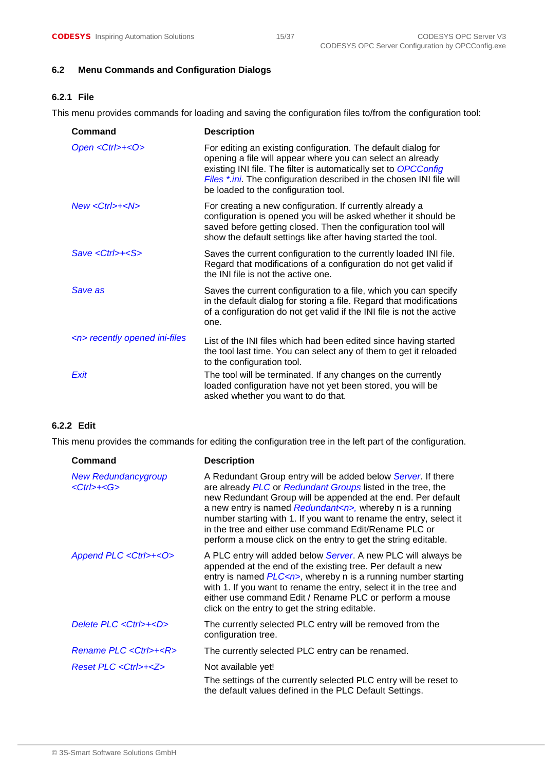#### <span id="page-14-0"></span>**6.2 Menu Commands and Configuration Dialogs**

# <span id="page-14-1"></span>**6.2.1 File**

This menu provides commands for loading and saving the configuration files to/from the configuration tool:

| Command                           | <b>Description</b>                                                                                                                                                                                                                                                                                             |  |  |
|-----------------------------------|----------------------------------------------------------------------------------------------------------------------------------------------------------------------------------------------------------------------------------------------------------------------------------------------------------------|--|--|
| Open <ctrl>+<o></o></ctrl>        | For editing an existing configuration. The default dialog for<br>opening a file will appear where you can select an already<br>existing INI file. The filter is automatically set to OPCConfig<br>Files *.ini. The configuration described in the chosen INI file will<br>be loaded to the configuration tool. |  |  |
| $New <$ Ctrl>+ $<$ N>             | For creating a new configuration. If currently already a<br>configuration is opened you will be asked whether it should be<br>saved before getting closed. Then the configuration tool will<br>show the default settings like after having started the tool.                                                   |  |  |
| $Save <$ Ctrl>+ $S$ >             | Saves the current configuration to the currently loaded INI file.<br>Regard that modifications of a configuration do not get valid if<br>the INI file is not the active one.                                                                                                                                   |  |  |
| Save as                           | Saves the current configuration to a file, which you can specify<br>in the default dialog for storing a file. Regard that modifications<br>of a configuration do not get valid if the INI file is not the active<br>one.                                                                                       |  |  |
| <n> recently opened ini-files</n> | List of the INI files which had been edited since having started<br>the tool last time. You can select any of them to get it reloaded<br>to the configuration tool.                                                                                                                                            |  |  |
| Exit                              | The tool will be terminated. If any changes on the currently<br>loaded configuration have not yet been stored, you will be<br>asked whether you want to do that.                                                                                                                                               |  |  |

#### <span id="page-14-2"></span>**6.2.2 Edit**

This menu provides the commands for editing the configuration tree in the left part of the configuration.

| Command                                         | <b>Description</b>                                                                                                                                                                                                                                                                                                                                                                                                                                                |  |  |
|-------------------------------------------------|-------------------------------------------------------------------------------------------------------------------------------------------------------------------------------------------------------------------------------------------------------------------------------------------------------------------------------------------------------------------------------------------------------------------------------------------------------------------|--|--|
| <b>New Redundancygroup</b><br>$<$ Ctrl>+ $<$ G> | A Redundant Group entry will be added below Server. If there<br>are already PLC or Redundant Groups listed in the tree, the<br>new Redundant Group will be appended at the end. Per default<br>a new entry is named Redundant <n>, whereby n is a running<br/>number starting with 1. If you want to rename the entry, select it<br/>in the tree and either use command Edit/Rename PLC or<br/>perform a mouse click on the entry to get the string editable.</n> |  |  |
| Append PLC <ctrl>+<o></o></ctrl>                | A PLC entry will added below Server. A new PLC will always be<br>appended at the end of the existing tree. Per default a new<br>entry is named $PLC\leq n$ , whereby n is a running number starting<br>with 1. If you want to rename the entry, select it in the tree and<br>either use command Edit / Rename PLC or perform a mouse<br>click on the entry to get the string editable.                                                                            |  |  |
| Delete PLC <ctrl>+<d></d></ctrl>                | The currently selected PLC entry will be removed from the<br>configuration tree.                                                                                                                                                                                                                                                                                                                                                                                  |  |  |
| Rename PLC < Ctrl>+ <r></r>                     | The currently selected PLC entry can be renamed.                                                                                                                                                                                                                                                                                                                                                                                                                  |  |  |
| Reset PLC < Ctrl>+ <z></z>                      | Not available yet!<br>The settings of the currently selected PLC entry will be reset to<br>the default values defined in the PLC Default Settings.                                                                                                                                                                                                                                                                                                                |  |  |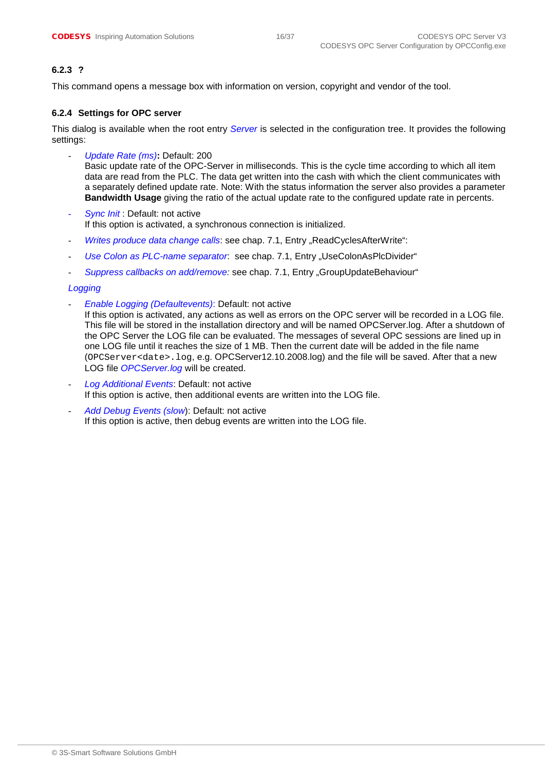### <span id="page-15-0"></span>**6.2.3 ?**

This command opens a message box with information on version, copyright and vendor of the tool.

#### <span id="page-15-1"></span>**6.2.4 Settings for OPC server**

This dialog is available when the root entry *Server* is selected in the configuration tree. It provides the following settings:

- *Update Rate (ms)***:** Default: 200 Basic update rate of the OPC-Server in milliseconds. This is the cycle time according to which all item data are read from the PLC. The data get written into the cash with which the client communicates with a separately defined update rate. Note: With the status information the server also provides a parameter **Bandwidth Usage** giving the ratio of the actual update rate to the configured update rate in percents.
- **Sync Init: Default: not active** If this option is activated, a synchronous connection is initialized.
- *Writes produce data change calls: see chap. [7.1,](#page-24-1) Entry "ReadCyclesAfterWrite":*
- Use Colon as PLC-name separator: see chap. [7.1,](#page-24-1) Entry "UseColonAsPlcDivider"
- Suppress callbacks on add/remove: see chap. [7.1,](#page-24-1) Entry "GroupUpdateBehaviour"

#### *Logging*

- *Enable Logging (Defaultevents)*: Default: not active

If this option is activated, any actions as well as errors on the OPC server will be recorded in a LOG file. This file will be stored in the installation directory and will be named OPCServer.log. After a shutdown of the OPC Server the LOG file can be evaluated. The messages of several OPC sessions are lined up in one LOG file until it reaches the size of 1 MB. Then the current date will be added in the file name (OPCServer<date>.log, e.g. OPCServer12.10.2008.log) and the file will be saved. After that a new LOG file *OPCServer.log* will be created.

- *Log Additional Events*: Default: not active If this option is active, then additional events are written into the LOG file.
- Add Debug Events (slow): Default: not active If this option is active, then debug events are written into the LOG file.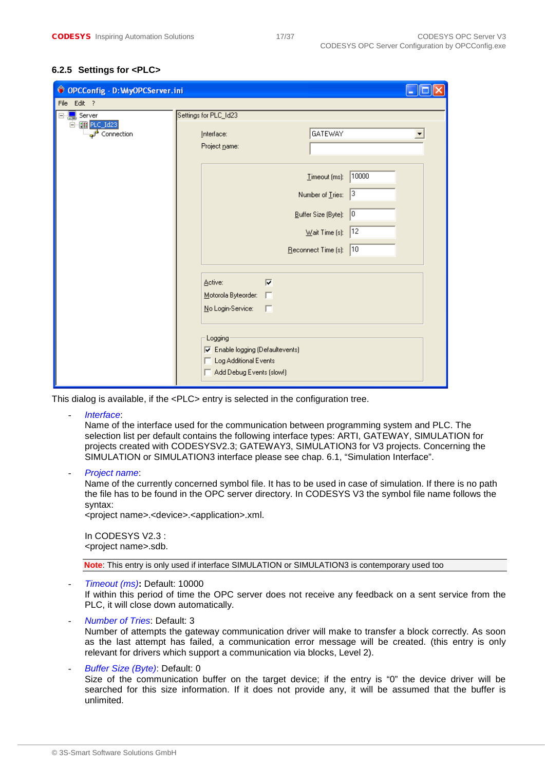### <span id="page-16-0"></span>**6.2.5 Settings for <PLC>**

| © OPCConfig - D: WyOPCServer.ini                             |                                                    |       |  |  |
|--------------------------------------------------------------|----------------------------------------------------|-------|--|--|
| File<br>Edit ?                                               |                                                    |       |  |  |
| Server<br>F                                                  | Settings for PLC_Id23                              |       |  |  |
| 白 [III PLC_Id23]<br>$\overline{a^{\prime\prime}}$ Connection | GATEWAY<br>Interface:<br>Project name:             |       |  |  |
|                                                              | $I$ imeout (ms):                                   | 10000 |  |  |
|                                                              | Number of Tries:                                   | 3     |  |  |
|                                                              | Buffer Size (Byte):                                | 0     |  |  |
|                                                              | $\underline{\text{W}}$ ait Time (s):  12           |       |  |  |
|                                                              | $\frac{1}{2}$ Reconnect Time (s):   10             |       |  |  |
|                                                              |                                                    |       |  |  |
|                                                              | $\overline{V}$<br>Active:                          |       |  |  |
|                                                              | Motorola Byteorder:                                |       |  |  |
|                                                              | No Login-Service:                                  |       |  |  |
|                                                              | Logging<br><b>▽</b> Enable logging (Defaultevents) |       |  |  |
|                                                              | Log Additional Events<br>Add Debug Events (slow!)  |       |  |  |
|                                                              |                                                    |       |  |  |

This dialog is available, if the <PLC> entry is selected in the configuration tree.

- *Interface*:

Name of the interface used for the communication between programming system and PLC. The selection list per default contains the following interface types: ARTI, GATEWAY, SIMULATION for projects created with CODESYSV2.3; GATEWAY3, SIMULATION3 for V3 projects. Concerning the SIMULATION or SIMULATION3 interface please see chap. 6.1, "Simulation Interface".

- *Project name*:

Name of the currently concerned symbol file. It has to be used in case of simulation. If there is no path the file has to be found in the OPC server directory. In CODESYS V3 the symbol file name follows the syntax:

<project name>.<device>.<application>.xml.

In CODESYS V2.3 : <project name>.sdb.

**Note**: This entry is only used if interface SIMULATION or SIMULATION3 is contemporary used too

#### - *Timeout (ms)***:** Default: 10000

If within this period of time the OPC server does not receive any feedback on a sent service from the PLC, it will close down automatically.

- *Number of Tries*: Default: 3 Number of attempts the gateway communication driver will make to transfer a block correctly. As soon as the last attempt has failed, a communication error message will be created. (this entry is only relevant for drivers which support a communication via blocks, Level 2).

#### - *Buffer Size (Byte)*: Default: 0 Size of the communication buffer on the target device; if the entry is "0" the device driver will be searched for this size information. If it does not provide any, it will be assumed that the buffer is unlimited.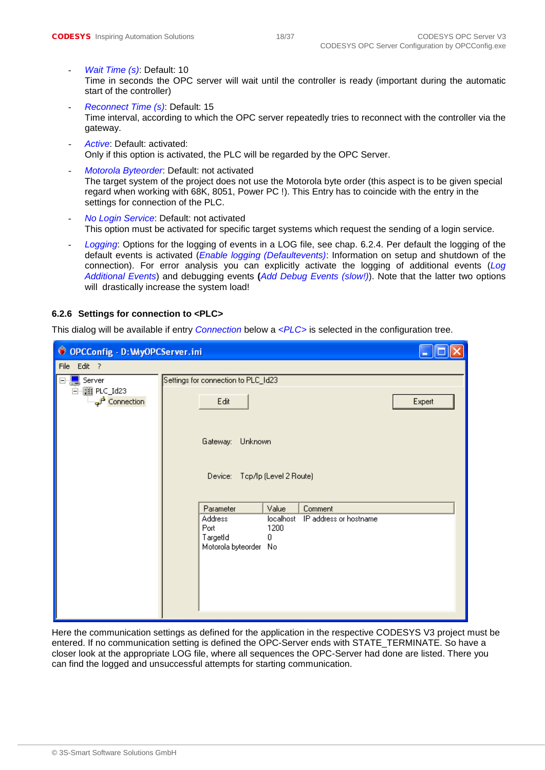- Wait Time (s): Default: 10 Time in seconds the OPC server will wait until the controller is ready (important during the automatic start of the controller)
- *Reconnect Time (s)*: Default: 15 Time interval, according to which the OPC server repeatedly tries to reconnect with the controller via the gateway.
- Active: Default: activated: Only if this option is activated, the PLC will be regarded by the OPC Server.
- *Motorola Byteorder*: Default: not activated The target system of the project does not use the Motorola byte order (this aspect is to be given special regard when working with 68K, 8051, Power PC !). This Entry has to coincide with the entry in the settings for connection of the PLC.
- *No Login Service*: Default: not activated This option must be activated for specific target systems which request the sending of a login service.
- Logging: Options for the logging of events in a LOG file, see chap. [6.2.4.](#page-15-1) Per default the logging of the default events is activated (*Enable logging (Defaultevents)*: Information on setup and shutdown of the connection). For error analysis you can explicitly activate the logging of additional events (*Log Additional Events*) and debugging events **(***Add Debug Events (slow!)*). Note that the latter two options will drastically increase the system load!

#### <span id="page-17-0"></span>**6.2.6 Settings for connection to <PLC>**

This dialog will be available if entry *Connection* below a *<PLC>* is selected in the configuration tree.

|                                                                   | © OPCConfig - D: WyOPCServer.ini                                                                                                             |        |  |  |  |
|-------------------------------------------------------------------|----------------------------------------------------------------------------------------------------------------------------------------------|--------|--|--|--|
| File Edit ?                                                       |                                                                                                                                              |        |  |  |  |
| ⊟ <mark></mark> Server<br>白 图 PLC_Id23<br><del>ं</del> Gonnection | Settings for connection to PLC_Id23<br>Edit                                                                                                  | Expert |  |  |  |
|                                                                   | Gateway:<br>Unknown<br>Device: Top/Ip (Level 2 Route)                                                                                        |        |  |  |  |
|                                                                   | Parameter<br>Value<br>Comment<br>Address<br>localhost<br>IP address or hostname<br>Port<br>1200<br>TargetId<br>0<br>Motorola byteorder<br>No |        |  |  |  |

Here the communication settings as defined for the application in the respective CODESYS V3 project must be entered. If no communication setting is defined the OPC-Server ends with STATE\_TERMINATE. So have a closer look at the appropriate LOG file, where all sequences the OPC-Server had done are listed. There you can find the logged and unsuccessful attempts for starting communication.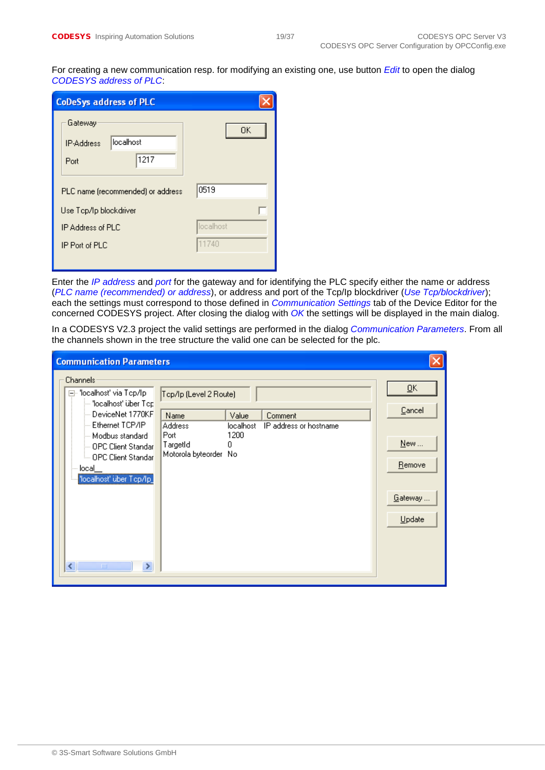For creating a new communication resp. for modifying an existing one, use button *Edit* to open the dialog *CODESYS address of PLC*:

| <b>CoDeSys address of PLC</b>                             |           |  |  |  |  |
|-----------------------------------------------------------|-----------|--|--|--|--|
| Gateway<br>localhost<br><b>IP-Address</b><br>1217<br>Port | 0K        |  |  |  |  |
| PLC name (recommended) or address                         | 0519      |  |  |  |  |
| Use Top/Ip blockdriver                                    |           |  |  |  |  |
| <b>IP Address of PLC</b>                                  | localhost |  |  |  |  |
| IP Port of PLC                                            | 11740     |  |  |  |  |
|                                                           |           |  |  |  |  |

Enter the *IP address* and *port* for the gateway and for identifying the PLC specify either the name or address (*PLC name (recommended) or address*), or address and port of the Tcp/Ip blockdriver (*Use Tcp/blockdriver*); each the settings must correspond to those defined in *Communication Settings* tab of the Device Editor for the concerned CODESYS project. After closing the dialog with *OK* the settings will be displayed in the main dialog.

In a CODESYS V2.3 project the valid settings are performed in the dialog *Communication Parameters*. From all the channels shown in the tree structure the valid one can be selected for the plc.

| <b>Communication Parameters</b>                                                                                                                                                                                                                      |                                                                                                                                                                       |                                                    |
|------------------------------------------------------------------------------------------------------------------------------------------------------------------------------------------------------------------------------------------------------|-----------------------------------------------------------------------------------------------------------------------------------------------------------------------|----------------------------------------------------|
| Channels:<br>⊟~ 'localhost' via Tcp/lp-<br>le "localhost" über Top<br>-- DeviceNet 1770KF<br>Ethernet TCP/IP<br>— Modbus standard<br>-- OPC Client Standar<br>illin OPC Client Standar<br>local<br>'localhost' über Top/Ip_<br>≮∣<br>×<br>$\rm{III}$ | Top/Ip (Level 2 Route)<br>Name<br>Value<br>Comment<br>IP address or hostname<br><b>Address</b><br>localhost<br>Port<br>1200<br>TargetId<br>Ω<br>Motorola byteorder No | ŌΚ<br>Cancel<br>New<br>Remove<br>Gateway<br>Update |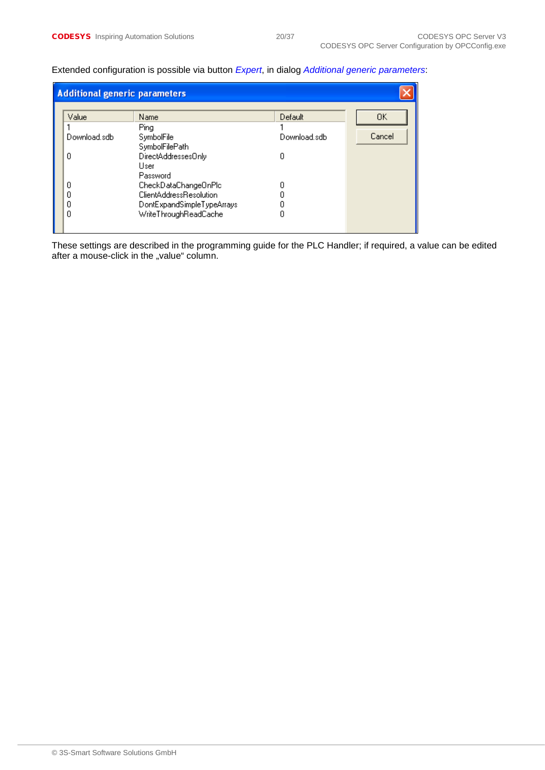#### **Additional generic parameters** Default  $0<sup>K</sup>$ Value Name Ping 1  $\mathbf{1}$ Download.sdb SymbolFile Download.sdb Cancel SymbolFilePath  $\boldsymbol{0}$  $\boldsymbol{0}$ DirectAddressesOnly User Password  $\overline{0}$ CheckDataChangeOnPlc  $\boldsymbol{0}$  $\boldsymbol{0}$ ClientAddressResolution  $\boldsymbol{0}$  $\overline{0}$ DontExpandSimpleTypeArrays  $\boldsymbol{0}$  $\overline{0}$ WriteThroughReadCache  $\boldsymbol{0}$

Extended configuration is possible via button *Expert*, in dialog *Additional generic parameters*:

These settings are described in the programming guide for the PLC Handler; if required, a value can be edited after a mouse-click in the "value" column.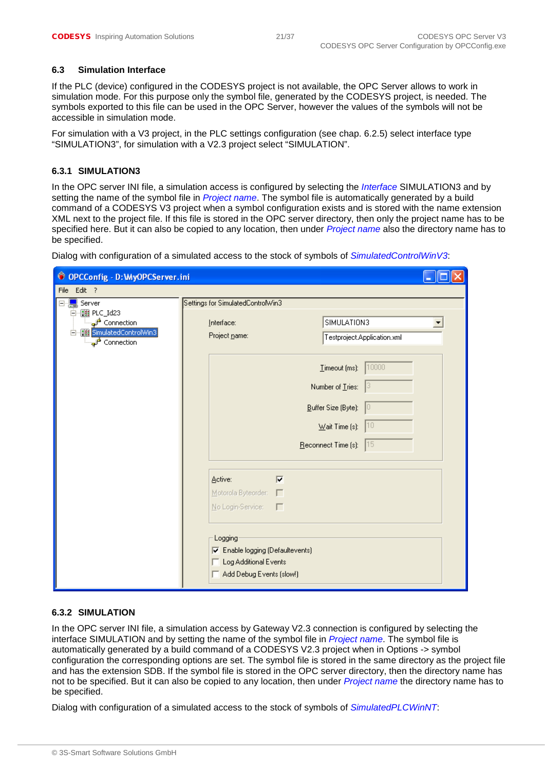#### <span id="page-20-0"></span>**6.3 Simulation Interface**

If the PLC (device) configured in the CODESYS project is not available, the OPC Server allows to work in simulation mode. For this purpose only the symbol file, generated by the CODESYS project, is needed. The symbols exported to this file can be used in the OPC Server, however the values of the symbols will not be accessible in simulation mode.

For simulation with a V3 project, in the PLC settings configuration (see chap. [6.2.5\)](#page-16-0) select interface type "SIMULATION3", for simulation with a V2.3 project select "SIMULATION".

#### <span id="page-20-1"></span>**6.3.1 SIMULATION3**

In the OPC server INI file, a simulation access is configured by selecting the *Interface* SIMULATION3 and by setting the name of the symbol file in *Project name*. The symbol file is automatically generated by a build command of a CODESYS V3 project when a symbol configuration exists and is stored with the name extension XML next to the project file. If this file is stored in the OPC server directory, then only the project name has to be specified here. But it can also be copied to any location, then under *Project name* also the directory name has to be specified.

Dialog with configuration of a simulated access to the stock of symbols of *SimulatedControlWinV3*:

| © OPCConfig - D: WyOPCServer.ini                                                                                       |                                                                                                                                                                                                          |
|------------------------------------------------------------------------------------------------------------------------|----------------------------------------------------------------------------------------------------------------------------------------------------------------------------------------------------------|
| File Edit ?                                                                                                            |                                                                                                                                                                                                          |
| Server<br>$\Box$<br>□ ■ PLC_Id23<br>ं Connection<br>白… [11] SimulatedControlWin3<br>$\overline{\mathbb{F}}$ Connection | Settings for SimulatedControlWin3<br>SIMULATION3<br>Interface:<br>Project name:<br>Testproject.Application.xml                                                                                           |
|                                                                                                                        | 10000<br>$I$ imeout (ms):<br>Number of Tries:<br>Buffer Size (Byte):<br>10<br> 10<br>$\underline{\text{W}}$ ait Time (s):<br>15<br>Reconnect Time (s):                                                   |
|                                                                                                                        | $\overline{\mathbf{v}}$<br>Active:<br>Motorola Byteorder:<br>г<br>No Login-Service:<br>$\Box$<br>Logging<br><b>区</b> Enable logging (Defaultevents)<br>Log Additional Events<br>Add Debug Events (slow!) |

#### <span id="page-20-2"></span>**6.3.2 SIMULATION**

In the OPC server INI file, a simulation access by Gateway V2.3 connection is configured by selecting the interface SIMULATION and by setting the name of the symbol file in *Project name*. The symbol file is automatically generated by a build command of a CODESYS V2.3 project when in Options -> symbol configuration the corresponding options are set. The symbol file is stored in the same directory as the project file and has the extension SDB. If the symbol file is stored in the OPC server directory, then the directory name has not to be specified. But it can also be copied to any location, then under *Project name* the directory name has to be specified.

Dialog with configuration of a simulated access to the stock of symbols of *SimulatedPLCWinNT*: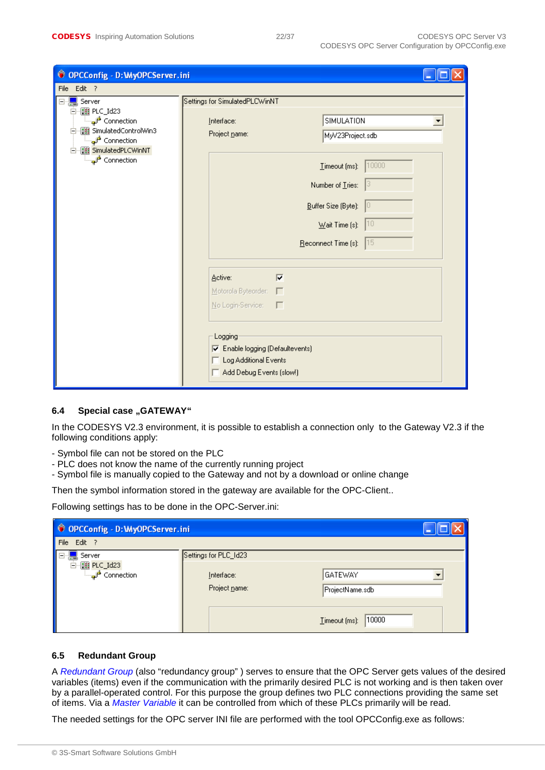| © OPCConfig - D: WyOPCServer.ini                                                                                                        |                                                                                                         |
|-----------------------------------------------------------------------------------------------------------------------------------------|---------------------------------------------------------------------------------------------------------|
| File Edit ?                                                                                                                             |                                                                                                         |
| ⊟ <mark></mark> Server                                                                                                                  | Settings for SimulatedPLCWinNT                                                                          |
| □ ■ PLC_Id23<br>Connection ا <del>لتي ا</del><br>白 图 SimulatedControlWin3<br>Connection التي الله عليها السلم<br>白 TH SimulatedPLCWinNT | SIMULATION<br>Interface:<br>Project name:<br>MyV23Project.sdb                                           |
| Connection                                                                                                                              | 10000<br>$I$ imeout (ms):                                                                               |
|                                                                                                                                         | Number of Tries:                                                                                        |
|                                                                                                                                         | Buffer Size (Byte):<br>10                                                                               |
|                                                                                                                                         | 10<br>$\underline{\mathsf{W}}$ ait Time (s):                                                            |
|                                                                                                                                         | Reconnect Time (s):<br> 15                                                                              |
|                                                                                                                                         | $\overline{\mathbf{v}}$<br>Active:<br>Motorola Byteorder:<br>г                                          |
|                                                                                                                                         | No Login-Service: F                                                                                     |
|                                                                                                                                         | Logging<br><b>▽</b> Enable logging (Defaultevents)<br>Log Additional Events<br>Add Debug Events (slow!) |

#### <span id="page-21-0"></span>**6.4** Special case "GATEWAY"

In the CODESYS V2.3 environment, it is possible to establish a connection only to the Gateway V2.3 if the following conditions apply:

- Symbol file can not be stored on the PLC
- PLC does not know the name of the currently running project
- Symbol file is manually copied to the Gateway and not by a download or online change

Then the symbol information stored in the gateway are available for the OPC-Client..

Following settings has to be done in the OPC-Server.ini:

| © OPCConfig - D: WyOPCServer.ini |                             |                                   |  |
|----------------------------------|-----------------------------|-----------------------------------|--|
| Edit ?<br>File                   |                             |                                   |  |
| Server<br>æ.                     | Settings for PLC_Id23       |                                   |  |
| 白 图 PLC_Id23<br>Connection       | Interface:<br>Project name: | <b>GATEWAY</b><br>ProjectName.sdb |  |
|                                  |                             | 10000<br>Timeout (ms):            |  |

#### <span id="page-21-1"></span>**6.5 Redundant Group**

A *Redundant Group* (also "redundancy group" ) serves to ensure that the OPC Server gets values of the desired variables (items) even if the communication with the primarily desired PLC is not working and is then taken over by a parallel-operated control. For this purpose the group defines two PLC connections providing the same set of items. Via a *Master Variable* it can be controlled from which of these PLCs primarily will be read.

The needed settings for the OPC server INI file are performed with the tool OPCConfig.exe as follows: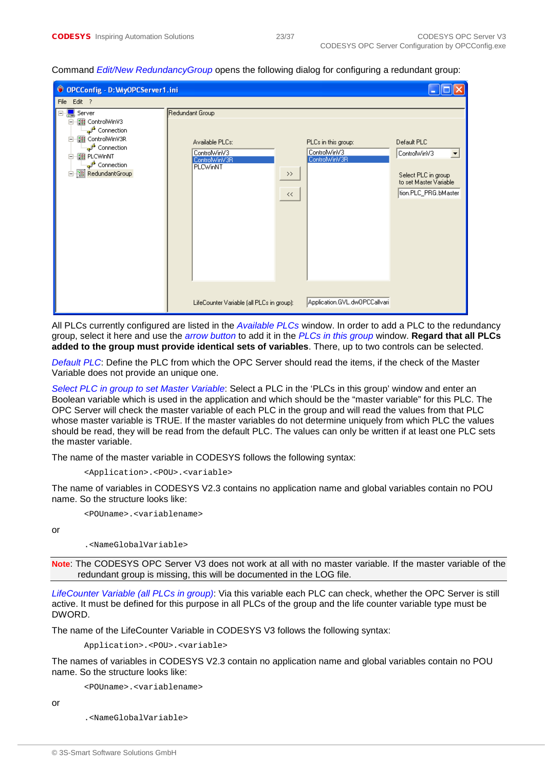| © OPCConfig - D: WyOPCServer1.ini                                                                                                                                                           |                                                                                 |                                                                       |                                                                                                      |
|---------------------------------------------------------------------------------------------------------------------------------------------------------------------------------------------|---------------------------------------------------------------------------------|-----------------------------------------------------------------------|------------------------------------------------------------------------------------------------------|
| File Edit ?                                                                                                                                                                                 |                                                                                 |                                                                       |                                                                                                      |
| Server<br>白 图 ControlWinV3<br>ं <sub>च</sub> ्रा <sup>±</sup> Connection<br>白 图 ControlWinV3R<br>Connection ا <del>ل</del> هي<br>白 图 PLCWinNT<br>ு Connection<br><b>E</b> Mi RedundantGroup | Redundant Group<br>Available PLCs:<br>ControlWinV3<br>ControlWinV3R<br>PLCWinNT | PLCs in this group:<br>ControlWinV3<br>ControlWinV3R<br>$\,>$<br>$<<$ | Default PLC<br>ControlWinV3<br>Select PLC in group<br>to set Master Variable<br>tion.PLC_PRG.bMaster |
|                                                                                                                                                                                             | LifeCounter Variable (all PLCs in group):                                       | Application.GVL.dwOPCCallvari                                         |                                                                                                      |

Command *Edit/New RedundancyGroup* opens the following dialog for configuring a redundant group:

All PLCs currently configured are listed in the *Available PLCs* window. In order to add a PLC to the redundancy group, select it here and use the *arrow button* to add it in the *PLCs in this group* window. **Regard that all PLCs added to the group must provide identical sets of variables**. There, up to two controls can be selected.

*Default PLC*: Define the PLC from which the OPC Server should read the items, if the check of the Master Variable does not provide an unique one.

*Select PLC in group to set Master Variable*: Select a PLC in the 'PLCs in this group' window and enter an Boolean variable which is used in the application and which should be the "master variable" for this PLC. The OPC Server will check the master variable of each PLC in the group and will read the values from that PLC whose master variable is TRUE. If the master variables do not determine uniquely from which PLC the values should be read, they will be read from the default PLC. The values can only be written if at least one PLC sets the master variable.

The name of the master variable in CODESYS follows the following syntax:

```
<Application>.<POU>.<variable>
```
The name of variables in CODESYS V2.3 contains no application name and global variables contain no POU name. So the structure looks like:

<POUname>.<variablename>

or

.<NameGlobalVariable>

**Note**: The CODESYS OPC Server V3 does not work at all with no master variable. If the master variable of the redundant group is missing, this will be documented in the LOG file.

*LifeCounter Variable (all PLCs in group)*: Via this variable each PLC can check, whether the OPC Server is still active. It must be defined for this purpose in all PLCs of the group and the life counter variable type must be DWORD.

The name of the LifeCounter Variable in CODESYS V3 follows the following syntax:

Application>.<POU>.<variable>

The names of variables in CODESYS V2.3 contain no application name and global variables contain no POU name. So the structure looks like:

<POUname>.<variablename>

or

.<NameGlobalVariable>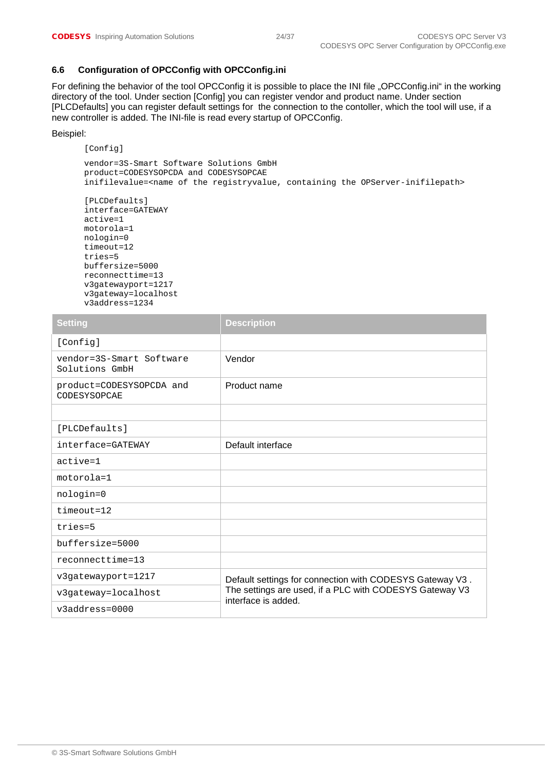#### <span id="page-23-0"></span>**6.6 Configuration of OPCConfig with OPCConfig.ini**

For defining the behavior of the tool OPCConfig it is possible to place the INI file "OPCConfig.ini" in the working directory of the tool. Under section [Config] you can register vendor and product name. Under section [PLCDefaults] you can register default settings for the connection to the contoller, which the tool will use, if a new controller is added. The INI-file is read every startup of OPCConfig.

#### Beispiel:

[Config]

vendor=3S-Smart Software Solutions GmbH product=CODESYSOPCDA and CODESYSOPCAE inifilevalue=<name of the registryvalue, containing the OPServer-inifilepath>

```
[PLCDefaults] 
interface=GATEWAY 
active=1 
motorola=1 
nologin=0 
timeout=12 
tries=5 
buffersize=5000 
reconnecttime=13 
v3gatewayport=1217 
v3gateway=localhost 
v3address=1234
```

| <b>Setting</b>                             | <b>Description</b>                                                             |
|--------------------------------------------|--------------------------------------------------------------------------------|
| [Config]                                   |                                                                                |
| vendor=3S-Smart Software<br>Solutions GmbH | Vendor                                                                         |
| product=CODESYSOPCDA and<br>CODESYSOPCAE   | Product name                                                                   |
|                                            |                                                                                |
| [PLCDefaults]                              |                                                                                |
| interface=GATEWAY                          | Default interface                                                              |
| $active = 1$                               |                                                                                |
| $motorola=1$                               |                                                                                |
| nologin=0                                  |                                                                                |
| $timeout=12$                               |                                                                                |
| tries=5                                    |                                                                                |
| buffersize=5000                            |                                                                                |
| reconnecttime=13                           |                                                                                |
| v3gatewayport=1217                         | Default settings for connection with CODESYS Gateway V3.                       |
| v3gateway=localhost                        | The settings are used, if a PLC with CODESYS Gateway V3<br>interface is added. |
| $v3$ address=0000                          |                                                                                |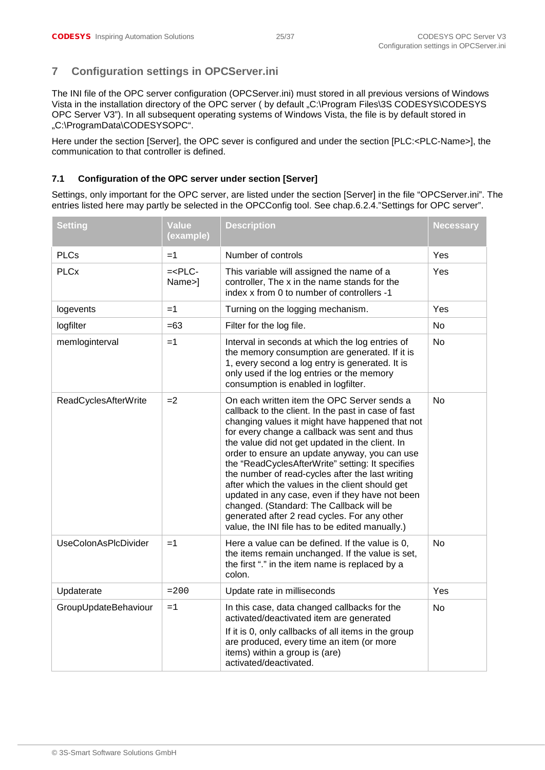# <span id="page-24-0"></span>**7 Configuration settings in OPCServer.ini**

The INI file of the OPC server configuration (OPCServer.ini) must stored in all previous versions of Windows Vista in the installation directory of the OPC server ( by default "C:\Program Files\3S CODESYS\CODESYS OPC Server V3"). In all subsequent operating systems of Windows Vista, the file is by default stored in "C:\ProgramData\CODESYSOPC".

Here under the section [Server], the OPC sever is configured and under the section [PLC:<PLC-Name>], the communication to that controller is defined.

### <span id="page-24-1"></span>**7.1 Configuration of the OPC server under section [Server]**

Settings, only important for the OPC server, are listed under the section [Server] in the file "OPCServer.ini". The entries listed here may partly be selected in the OPCConfig tool. See chap.6.2.4."Settings for OPC server".

| <b>Setting</b>              | <b>Value</b><br>(example) | <b>Description</b>                                                                                                                                                                                                                                                                                                                                                                                                                                                                                                                                                                                                                                                      | <b>Necessary</b> |
|-----------------------------|---------------------------|-------------------------------------------------------------------------------------------------------------------------------------------------------------------------------------------------------------------------------------------------------------------------------------------------------------------------------------------------------------------------------------------------------------------------------------------------------------------------------------------------------------------------------------------------------------------------------------------------------------------------------------------------------------------------|------------------|
| <b>PLCs</b>                 | $=1$                      | Number of controls                                                                                                                                                                                                                                                                                                                                                                                                                                                                                                                                                                                                                                                      | Yes              |
| <b>PLCx</b>                 | $=<$ PLC $-$<br>Name>]    | This variable will assigned the name of a<br>controller, The x in the name stands for the<br>index x from 0 to number of controllers -1                                                                                                                                                                                                                                                                                                                                                                                                                                                                                                                                 | Yes              |
| logevents                   | $=1$                      | Turning on the logging mechanism.                                                                                                                                                                                                                                                                                                                                                                                                                                                                                                                                                                                                                                       | Yes              |
| logfilter                   | $=63$                     | Filter for the log file.                                                                                                                                                                                                                                                                                                                                                                                                                                                                                                                                                                                                                                                | <b>No</b>        |
| memloginterval              | $=1$                      | Interval in seconds at which the log entries of<br>the memory consumption are generated. If it is<br>1, every second a log entry is generated. It is<br>only used if the log entries or the memory<br>consumption is enabled in logfilter.                                                                                                                                                                                                                                                                                                                                                                                                                              | No               |
| ReadCyclesAfterWrite        | $=2$                      | On each written item the OPC Server sends a<br>callback to the client. In the past in case of fast<br>changing values it might have happened that not<br>for every change a callback was sent and thus<br>the value did not get updated in the client. In<br>order to ensure an update anyway, you can use<br>the "ReadCyclesAfterWrite" setting: It specifies<br>the number of read-cycles after the last writing<br>after which the values in the client should get<br>updated in any case, even if they have not been<br>changed. (Standard: The Callback will be<br>generated after 2 read cycles. For any other<br>value, the INI file has to be edited manually.) | <b>No</b>        |
| <b>UseColonAsPIcDivider</b> | $=1$                      | Here a value can be defined. If the value is 0,<br>the items remain unchanged. If the value is set,<br>the first "." in the item name is replaced by a<br>colon.                                                                                                                                                                                                                                                                                                                                                                                                                                                                                                        | <b>No</b>        |
| Updaterate                  | $= 200$                   | Update rate in milliseconds                                                                                                                                                                                                                                                                                                                                                                                                                                                                                                                                                                                                                                             | Yes              |
| GroupUpdateBehaviour        | $=1$                      | In this case, data changed callbacks for the<br>activated/deactivated item are generated<br>If it is 0, only callbacks of all items in the group<br>are produced, every time an item (or more<br>items) within a group is (are)<br>activated/deactivated.                                                                                                                                                                                                                                                                                                                                                                                                               | <b>No</b>        |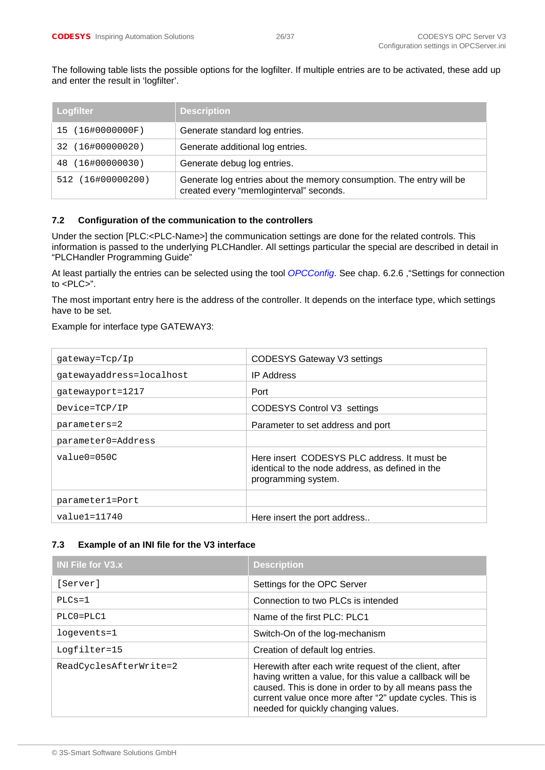The following table lists the possible options for the logfilter. If multiple entries are to be activated, these add up and enter the result in 'logfilter'.

| <b>Logfilter</b>  | <b>Description</b>                                                                                              |
|-------------------|-----------------------------------------------------------------------------------------------------------------|
| 15 (16#0000000F)  | Generate standard log entries.                                                                                  |
| 32 (16#00000020)  | Generate additional log entries.                                                                                |
| 48 (16#00000030)  | Generate debug log entries.                                                                                     |
| 512 (16#00000200) | Generate log entries about the memory consumption. The entry will be<br>created every "memloginterval" seconds. |

#### <span id="page-25-0"></span>**7.2 Configuration of the communication to the controllers**

Under the section [PLC:<PLC-Name>] the communication settings are done for the related controls. This information is passed to the underlying PLCHandler. All settings particular the special are described in detail in "PLCHandler Programming Guide"

At least partially the entries can be selected using the tool *OPCConfig*. See chap. [6.2.6](#page-17-0) ,["Settings for connection](#page-17-0)  [to <PLC>"](#page-17-0).

The most important entry here is the address of the controller. It depends on the interface type, which settings have to be set.

#### Example for interface type GATEWAY3:

| qateway=Tcp/Ip           | CODESYS Gateway V3 settings                                                                                            |
|--------------------------|------------------------------------------------------------------------------------------------------------------------|
| qatewayaddress=localhost | <b>IP Address</b>                                                                                                      |
| qatewayport=1217         | Port                                                                                                                   |
| Device=TCP/IP            | CODESYS Control V3 settings                                                                                            |
| parameters=2             | Parameter to set address and port                                                                                      |
| parameter0=Address       |                                                                                                                        |
| $value0=050C$            | Here insert CODESYS PLC address. It must be<br>identical to the node address, as defined in the<br>programming system. |
| parameter1=Port          |                                                                                                                        |
| $value1 = 11740$         | Here insert the port address                                                                                           |

#### <span id="page-25-1"></span>**7.3 Example of an INI file for the V3 interface**

| <b>INI File for V3.x</b> | <b>Description</b>                                                                                                                                                                                                                                                               |
|--------------------------|----------------------------------------------------------------------------------------------------------------------------------------------------------------------------------------------------------------------------------------------------------------------------------|
| [Server]                 | Settings for the OPC Server                                                                                                                                                                                                                                                      |
| $PLCs = 1$               | Connection to two PLCs is intended                                                                                                                                                                                                                                               |
| $PLCO = PLC1$            | Name of the first PLC: PLC1                                                                                                                                                                                                                                                      |
| logevents=1              | Switch-On of the log-mechanism                                                                                                                                                                                                                                                   |
| Logfilter=15             | Creation of default log entries.                                                                                                                                                                                                                                                 |
| ReadCyclesAfterWrite=2   | Herewith after each write request of the client, after<br>having written a value, for this value a callback will be<br>caused. This is done in order to by all means pass the<br>current value once more after "2" update cycles. This is<br>needed for quickly changing values. |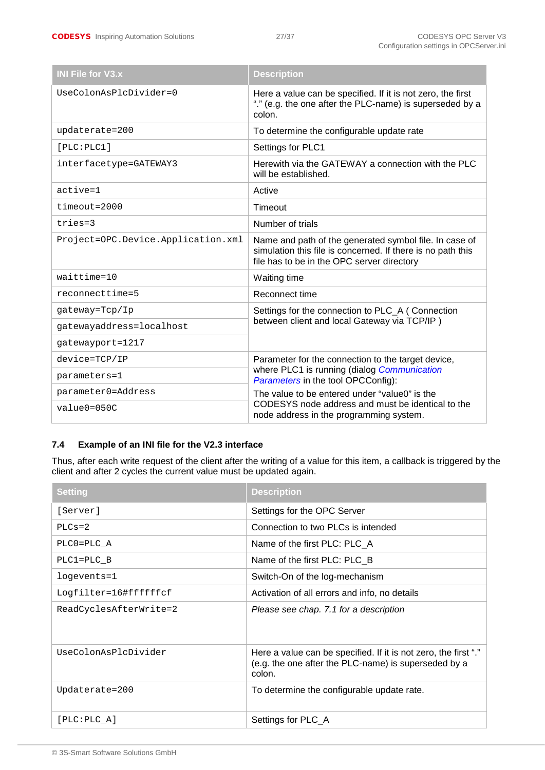| <b>INI File for V3.x</b>           | <b>Description</b>                                                                                                                                                  |
|------------------------------------|---------------------------------------------------------------------------------------------------------------------------------------------------------------------|
| UseColonAsPlcDivider=0             | Here a value can be specified. If it is not zero, the first<br>"." (e.g. the one after the PLC-name) is superseded by a<br>colon.                                   |
| updaterate=200                     | To determine the configurable update rate                                                                                                                           |
| [PLC:PLC1]                         | Settings for PLC1                                                                                                                                                   |
| interfacetype=GATEWAY3             | Herewith via the GATEWAY a connection with the PLC<br>will be established.                                                                                          |
| $active = 1$                       | Active                                                                                                                                                              |
| $timeout=2000$                     | Timeout                                                                                                                                                             |
| $tries=3$                          | Number of trials                                                                                                                                                    |
| Project=OPC.Device.Application.xml | Name and path of the generated symbol file. In case of<br>simulation this file is concerned. If there is no path this<br>file has to be in the OPC server directory |
| $waittime = 10$                    | Waiting time                                                                                                                                                        |
| reconnecttime=5                    | Reconnect time                                                                                                                                                      |
| qateway=Tcp/Ip                     | Settings for the connection to PLC_A (Connection                                                                                                                    |
| gatewayaddress=localhost           | between client and local Gateway via TCP/IP)                                                                                                                        |
| gatewayport=1217                   |                                                                                                                                                                     |
| $device=TCP/IP$                    | Parameter for the connection to the target device,                                                                                                                  |
| parameters=1                       | where PLC1 is running (dialog Communication<br>Parameters in the tool OPCConfig):                                                                                   |
| parameter0=Address                 | The value to be entered under "value0" is the                                                                                                                       |
| $value0 = 050C$                    | CODESYS node address and must be identical to the<br>node address in the programming system.                                                                        |

# <span id="page-26-0"></span>**7.4 Example of an INI file for the V2.3 interface**

Thus, after each write request of the client after the writing of a value for this item, a callback is triggered by the client and after 2 cycles the current value must be updated again.

| <b>Setting</b>         | <b>Description</b>                                                                                                                |
|------------------------|-----------------------------------------------------------------------------------------------------------------------------------|
| [Server]               | Settings for the OPC Server                                                                                                       |
| $PLCs = 2$             | Connection to two PLCs is intended                                                                                                |
| PLC0=PLC A             | Name of the first PLC: PLC_A                                                                                                      |
| PLC1=PLC B             | Name of the first PLC: PLC B                                                                                                      |
| logevents=1            | Switch-On of the log-mechanism                                                                                                    |
| Logfilter=16#ffffffcf  | Activation of all errors and info, no details                                                                                     |
| ReadCyclesAfterWrite=2 | Please see chap. 7.1 for a description                                                                                            |
| UseColonAsPlcDivider   | Here a value can be specified. If it is not zero, the first "."<br>(e.g. the one after the PLC-name) is superseded by a<br>colon. |
| Updaterate=200         | To determine the configurable update rate.                                                                                        |
| [PLC:PLC A]            | Settings for PLC_A                                                                                                                |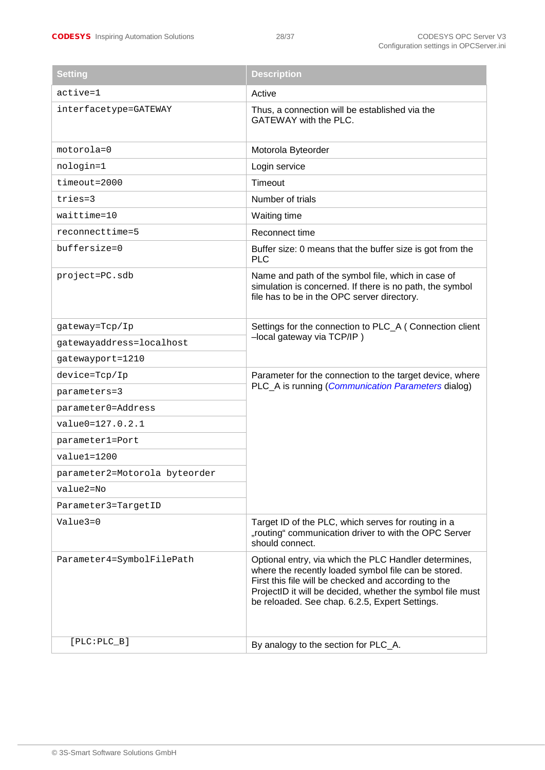| <b>Setting</b>                | <b>Description</b>                                                                                                                                                                                                                                                                    |  |
|-------------------------------|---------------------------------------------------------------------------------------------------------------------------------------------------------------------------------------------------------------------------------------------------------------------------------------|--|
| active=1                      | Active                                                                                                                                                                                                                                                                                |  |
| interfacetype=GATEWAY         | Thus, a connection will be established via the<br>GATEWAY with the PLC.                                                                                                                                                                                                               |  |
| motorola=0                    | Motorola Byteorder                                                                                                                                                                                                                                                                    |  |
| nologin=1                     | Login service                                                                                                                                                                                                                                                                         |  |
| $timeout=2000$                | Timeout                                                                                                                                                                                                                                                                               |  |
| tries=3                       | Number of trials                                                                                                                                                                                                                                                                      |  |
| waittime=10                   | Waiting time                                                                                                                                                                                                                                                                          |  |
| reconnecttime=5               | Reconnect time                                                                                                                                                                                                                                                                        |  |
| buffersize=0                  | Buffer size: 0 means that the buffer size is got from the<br><b>PLC</b>                                                                                                                                                                                                               |  |
| project=PC.sdb                | Name and path of the symbol file, which in case of<br>simulation is concerned. If there is no path, the symbol<br>file has to be in the OPC server directory.                                                                                                                         |  |
| gateway=Tcp/Ip                | Settings for the connection to PLC_A (Connection client                                                                                                                                                                                                                               |  |
| gatewayaddress=localhost      | -local gateway via TCP/IP)                                                                                                                                                                                                                                                            |  |
| gatewayport=1210              |                                                                                                                                                                                                                                                                                       |  |
| device=Tcp/Ip                 | Parameter for the connection to the target device, where                                                                                                                                                                                                                              |  |
| parameters=3                  | PLC_A is running ( <i>Communication Parameters</i> dialog)                                                                                                                                                                                                                            |  |
| parameter0=Address            |                                                                                                                                                                                                                                                                                       |  |
| value0=127.0.2.1              |                                                                                                                                                                                                                                                                                       |  |
| parameter1=Port               |                                                                                                                                                                                                                                                                                       |  |
| $value1 = 1200$               |                                                                                                                                                                                                                                                                                       |  |
| parameter2=Motorola byteorder |                                                                                                                                                                                                                                                                                       |  |
| value2=No                     |                                                                                                                                                                                                                                                                                       |  |
| Parameter3=TargetID           |                                                                                                                                                                                                                                                                                       |  |
| Value3=0                      | Target ID of the PLC, which serves for routing in a<br>"routing" communication driver to with the OPC Server<br>should connect.                                                                                                                                                       |  |
| Parameter4=SymbolFilePath     | Optional entry, via which the PLC Handler determines,<br>where the recently loaded symbol file can be stored.<br>First this file will be checked and according to the<br>ProjectID it will be decided, whether the symbol file must<br>be reloaded. See chap. 6.2.5, Expert Settings. |  |
| $[PLC:PLC_B]$                 | By analogy to the section for PLC_A.                                                                                                                                                                                                                                                  |  |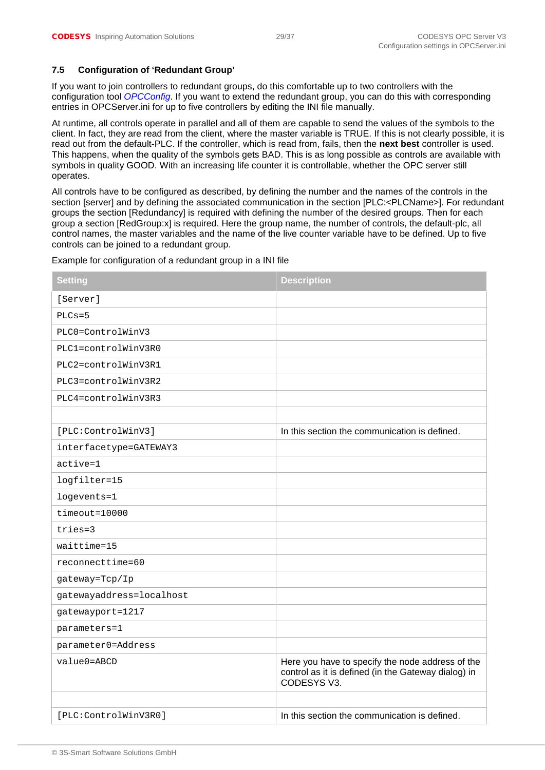#### <span id="page-28-0"></span>**7.5 Configuration of 'Redundant Group'**

If you want to join controllers to redundant groups, do this comfortable up to two controllers with the configuration tool *OPCConfig*. If you want to extend the redundant group, you can do this with corresponding entries in OPCServer.ini for up to five controllers by editing the INI file manually.

At runtime, all controls operate in parallel and all of them are capable to send the values of the symbols to the client. In fact, they are read from the client, where the master variable is TRUE. If this is not clearly possible, it is read out from the default-PLC. If the controller, which is read from, fails, then the **next best** controller is used. This happens, when the quality of the symbols gets BAD. This is as long possible as controls are available with symbols in quality GOOD. With an increasing life counter it is controllable, whether the OPC server still operates.

All controls have to be configured as described, by defining the number and the names of the controls in the section [server] and by defining the associated communication in the section [PLC:<PLCName>]. For redundant groups the section [Redundancy] is required with defining the number of the desired groups. Then for each group a section [RedGroup:x] is required. Here the group name, the number of controls, the default-plc, all control names, the master variables and the name of the live counter variable have to be defined. Up to five controls can be joined to a redundant group.

| <b>Setting</b>           | <b>Description</b>                                                                                                     |
|--------------------------|------------------------------------------------------------------------------------------------------------------------|
| [Server]                 |                                                                                                                        |
| $PLCs = 5$               |                                                                                                                        |
| PLC0=ControlWinV3        |                                                                                                                        |
| PLC1=controlWinV3R0      |                                                                                                                        |
| PLC2=controlWinV3R1      |                                                                                                                        |
| PLC3=controlWinV3R2      |                                                                                                                        |
| PLC4=controlWinV3R3      |                                                                                                                        |
|                          |                                                                                                                        |
| [PLC:ControlWinV3]       | In this section the communication is defined.                                                                          |
| interfacetype=GATEWAY3   |                                                                                                                        |
| $active = 1$             |                                                                                                                        |
| logfilter=15             |                                                                                                                        |
| logevents=1              |                                                                                                                        |
| $timeout=10000$          |                                                                                                                        |
| tries=3                  |                                                                                                                        |
| waittime=15              |                                                                                                                        |
| reconnecttime=60         |                                                                                                                        |
| gateway=Tcp/Ip           |                                                                                                                        |
| gatewayaddress=localhost |                                                                                                                        |
| gatewayport=1217         |                                                                                                                        |
| parameters=1             |                                                                                                                        |
| parameter0=Address       |                                                                                                                        |
| value0=ABCD              | Here you have to specify the node address of the<br>control as it is defined (in the Gateway dialog) in<br>CODESYS V3. |
|                          |                                                                                                                        |
| [PLC:ControlWinV3R0]     | In this section the communication is defined.                                                                          |

Example for configuration of a redundant group in a INI file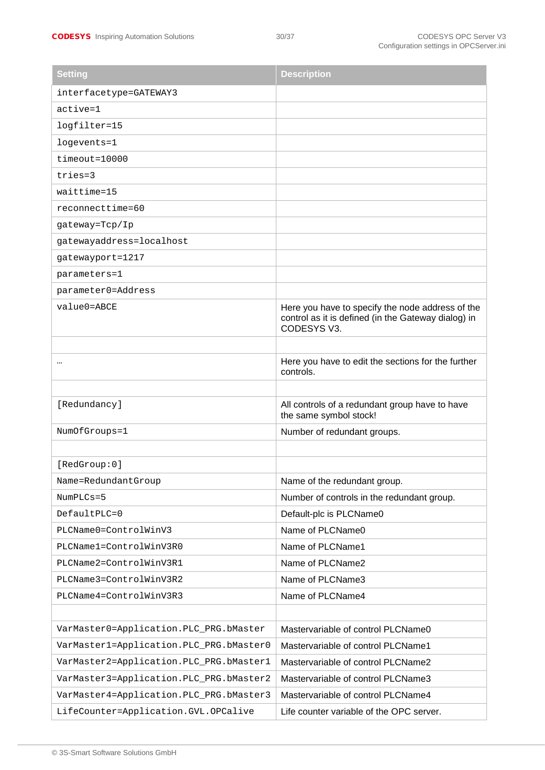| <b>Setting</b>                          | <b>Description</b>                                                                                                     |
|-----------------------------------------|------------------------------------------------------------------------------------------------------------------------|
| interfacetype=GATEWAY3                  |                                                                                                                        |
| $active = 1$                            |                                                                                                                        |
| logfilter=15                            |                                                                                                                        |
| logevents=1                             |                                                                                                                        |
| $timeout=10000$                         |                                                                                                                        |
| tries=3                                 |                                                                                                                        |
| waittime=15                             |                                                                                                                        |
| reconnecttime=60                        |                                                                                                                        |
| gateway=Tcp/Ip                          |                                                                                                                        |
| gatewayaddress=localhost                |                                                                                                                        |
| gatewayport=1217                        |                                                                                                                        |
| parameters=1                            |                                                                                                                        |
| parameter0=Address                      |                                                                                                                        |
| value0=ABCE                             | Here you have to specify the node address of the<br>control as it is defined (in the Gateway dialog) in<br>CODESYS V3. |
|                                         | Here you have to edit the sections for the further<br>controls.                                                        |
|                                         |                                                                                                                        |
| [Redundancy]                            | All controls of a redundant group have to have<br>the same symbol stock!                                               |
| NumOfGroups=1                           | Number of redundant groups.                                                                                            |
|                                         |                                                                                                                        |
| [RedGroup:0]                            |                                                                                                                        |
| Name=RedundantGroup                     | Name of the redundant group.                                                                                           |
| $NumberCs = 5$                          | Number of controls in the redundant group.                                                                             |
| DefaultPLC=0                            | Default-plc is PLCName0                                                                                                |
| PLCName0=ControlWinV3                   | Name of PLCName0                                                                                                       |
| PLCName1=ControlWinV3R0                 | Name of PLCName1                                                                                                       |
| PLCName2=ControlWinV3R1                 | Name of PLCName2                                                                                                       |
| PLCName3=ControlWinV3R2                 | Name of PLCName3                                                                                                       |
| PLCName4=ControlWinV3R3                 | Name of PLCName4                                                                                                       |
|                                         |                                                                                                                        |
| VarMaster0=Application.PLC_PRG.bMaster  | Mastervariable of control PLCName0                                                                                     |
| VarMaster1=Application.PLC_PRG.bMaster0 | Mastervariable of control PLCName1                                                                                     |
| VarMaster2=Application.PLC_PRG.bMaster1 | Mastervariable of control PLCName2                                                                                     |
| VarMaster3=Application.PLC_PRG.bMaster2 | Mastervariable of control PLCName3                                                                                     |
| VarMaster4=Application.PLC_PRG.bMaster3 | Mastervariable of control PLCName4                                                                                     |
| LifeCounter=Application.GVL.OPCalive    | Life counter variable of the OPC server.                                                                               |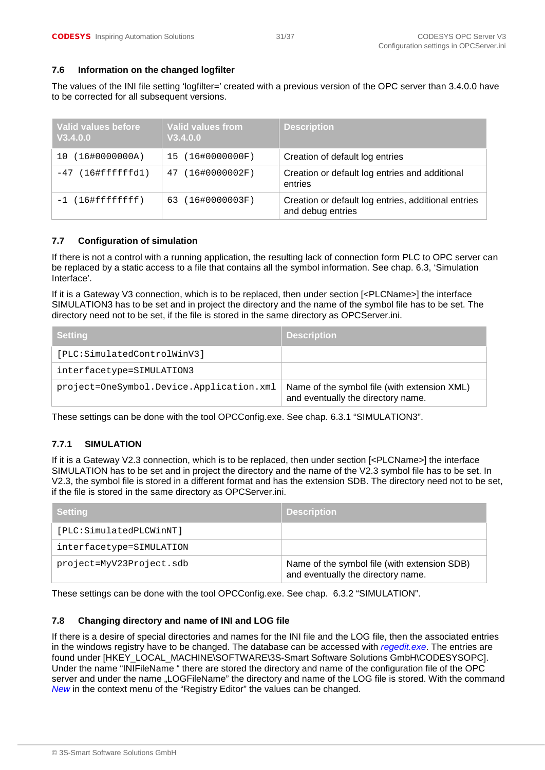#### <span id="page-30-0"></span>**7.6 Information on the changed logfilter**

The values of the INI file setting 'logfilter=' created with a previous version of the OPC server than 3.4.0.0 have to be corrected for all subsequent versions.

| Valid values before<br>V3.4.0.0 | <b>Valid values from</b><br>V3.4.0.0 | <b>Description</b>                                                       |
|---------------------------------|--------------------------------------|--------------------------------------------------------------------------|
| (16#0000000A)<br>10             | 15 (16#0000000F)                     | Creation of default log entries                                          |
| $-47$ (16#ffffffd1)             | $(16\#0000002F)$<br>47               | Creation or default log entries and additional<br>entries                |
| $-1$ (16#fffffffff)             | 63 (16#0000003F)                     | Creation or default log entries, additional entries<br>and debug entries |

#### <span id="page-30-1"></span>**7.7 Configuration of simulation**

If there is not a control with a running application, the resulting lack of connection form PLC to OPC server can be replaced by a static access to a file that contains all the symbol information. See chap. 6.3, 'Simulation Interface'.

If it is a Gateway V3 connection, which is to be replaced, then under section [<PLCName>] the interface SIMULATION3 has to be set and in project the directory and the name of the symbol file has to be set. The directory need not to be set, if the file is stored in the same directory as OPCServer.ini.

| ∣ Settinɑ                                | <b>Description</b>                                                                 |
|------------------------------------------|------------------------------------------------------------------------------------|
| [PLC:SimulatedControlWinV3]              |                                                                                    |
| interfacetype=SIMULATION3                |                                                                                    |
| project=OneSymbol.Device.Application.xml | Name of the symbol file (with extension XML)<br>and eventually the directory name. |

These settings can be done with the tool OPCConfig.exe. See chap. 6.3.1 "SIMULATION3".

#### <span id="page-30-2"></span>**7.7.1 SIMULATION**

If it is a Gateway V2.3 connection, which is to be replaced, then under section [<PLCName>] the interface SIMULATION has to be set and in project the directory and the name of the V2.3 symbol file has to be set. In V2.3, the symbol file is stored in a different format and has the extension SDB. The directory need not to be set, if the file is stored in the same directory as OPCServer.ini.

| <b>Setting</b>           | <b>Description</b>                                                                 |
|--------------------------|------------------------------------------------------------------------------------|
| [PLC:SimulatedPLCWinNT]  |                                                                                    |
| interfacetype=SIMULATION |                                                                                    |
| project=MyV23Project.sdb | Name of the symbol file (with extension SDB)<br>and eventually the directory name. |

These settings can be done with the tool OPCConfig.exe. See chap. 6.3.2 "SIMULATION".

#### <span id="page-30-3"></span>**7.8 Changing directory and name of INI and LOG file**

If there is a desire of special directories and names for the INI file and the LOG file, then the associated entries in the windows registry have to be changed. The database can be accessed with *regedit.exe*. The entries are found under [HKEY\_LOCAL\_MACHINE\SOFTWARE\3S-Smart Software Solutions GmbH\CODESYSOPC]. Under the name "INIFileName " there are stored the directory and name of the configuration file of the OPC server and under the name "LOGFileName" the directory and name of the LOG file is stored. With the command *New* in the context menu of the "Registry Editor" the values can be changed.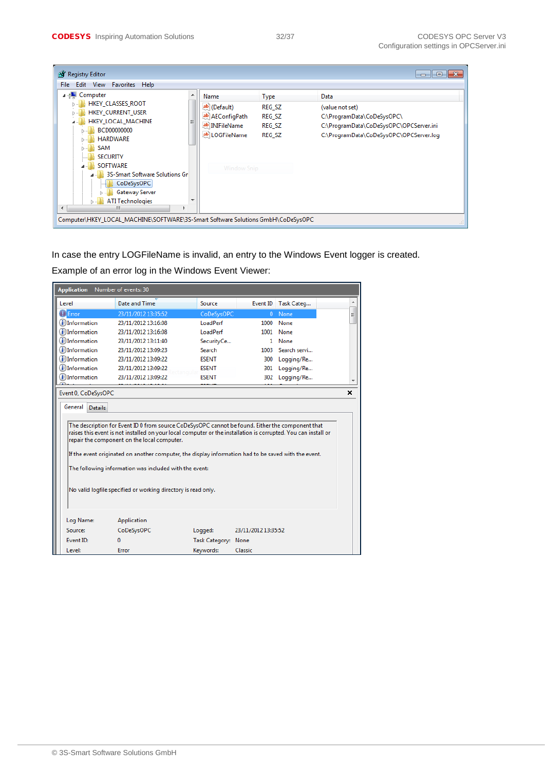| <b>AT</b> Registry Editor                                                                                                                                                                                                                   |                                                                                            |                                              | ⊪×<br>$\Box$<br>$\Box$                                                                                                                      |  |  |  |
|---------------------------------------------------------------------------------------------------------------------------------------------------------------------------------------------------------------------------------------------|--------------------------------------------------------------------------------------------|----------------------------------------------|---------------------------------------------------------------------------------------------------------------------------------------------|--|--|--|
| Edit View Favorites Help<br>File                                                                                                                                                                                                            |                                                                                            |                                              |                                                                                                                                             |  |  |  |
| ⊿ - <sub>I</sub> IIII Computer<br><b>HKEY CLASSES ROOT</b><br><b>HKEY CURRENT USER</b><br>HKEY_LOCAL_MACHINE<br>BCD00000000<br><b>HARDWARE</b><br>SAM<br><b>SECURITY</b><br><b>SOFTWARE</b><br>3S-Smart Software Solutions Gr<br>CoDeSysOPC | Name<br>ab (Default)<br>ab AEConfigPath<br>ab INIFileName<br>ab LOGFileName<br>Window Snip | Type<br>REG SZ<br>REG_SZ<br>REG SZ<br>REG SZ | Data<br>(value not set)<br>C:\ProgramData\CoDeSysOPC\<br>C:\ProgramData\CoDeSysOPC\OPCServer.ini<br>C:\ProgramData\CoDeSysOPC\OPCServer.log |  |  |  |
| Gateway Server<br><b>ATI Technologies</b><br>ш<br>∢<br>Computer\HKEY_LOCAL_MACHINE\SOFTWARE\3S-Smart Software Solutions GmbH\CoDeSysOPC                                                                                                     |                                                                                            |                                              |                                                                                                                                             |  |  |  |

In case the entry LOGFileName is invalid, an entry to the Windows Event logger is created.

Example of an error log in the Windows Event Viewer:

| Number of events: 30<br><b>Application</b> |                                                                                                                                                                                                                                                                                |                     |                     |                     |   |
|--------------------------------------------|--------------------------------------------------------------------------------------------------------------------------------------------------------------------------------------------------------------------------------------------------------------------------------|---------------------|---------------------|---------------------|---|
| Level                                      | Date and Time                                                                                                                                                                                                                                                                  | Source              |                     | Event ID Task Categ | ▲ |
| <b>D</b> Error                             | 23/11/2012 13:35:52                                                                                                                                                                                                                                                            | CoDeSysOPC          | $\mathbf{0}$        | None                | Ξ |
| (i) Information                            | 23/11/2012 13:16:08                                                                                                                                                                                                                                                            | LoadPerf            | 1000                | None                |   |
| (i) Information                            | 23/11/2012 13:16:08                                                                                                                                                                                                                                                            | LoadPerf            |                     | 1001 None           |   |
| (i) Information                            | 23/11/2012 13:11:40                                                                                                                                                                                                                                                            | SecurityCe          |                     | 1 None              |   |
| (i) Information                            | 23/11/2012 13:09:23                                                                                                                                                                                                                                                            | Search              |                     | 1003 Search servi   |   |
| (i) Information                            | 23/11/2012 13:09:22                                                                                                                                                                                                                                                            | <b>FSENT</b>        | 300                 | Logging/Re          |   |
| (i) Information                            | 23/11/2012 13:09:22                                                                                                                                                                                                                                                            | <b>ESENT</b>        | 301                 | Logging/Re          |   |
| (i) Information                            | 23/11/2012 13:09:22                                                                                                                                                                                                                                                            | <b>ESENT</b>        | 302                 | Logging/Re          |   |
| Event 0, CoDeSysOPC                        |                                                                                                                                                                                                                                                                                |                     |                     |                     | x |
| General<br><b>Details</b>                  | The description for Event ID 0 from source CoDeSysOPC cannot be found. Either the component that<br>raises this event is not installed on your local computer or the installation is corrupted. You can install or                                                             |                     |                     |                     |   |
|                                            | repair the component on the local computer.<br>If the event originated on another computer, the display information had to be saved with the event.<br>The following information was included with the event:<br>No valid logfile specified or working directory is read only. |                     |                     |                     |   |
| Log Name:<br>Source:                       | Application<br>CoDeSysOPC                                                                                                                                                                                                                                                      | Logged:             | 23/11/2012 13:35:52 |                     |   |
| Event ID:                                  | $\Omega$                                                                                                                                                                                                                                                                       | Task Category: None |                     |                     |   |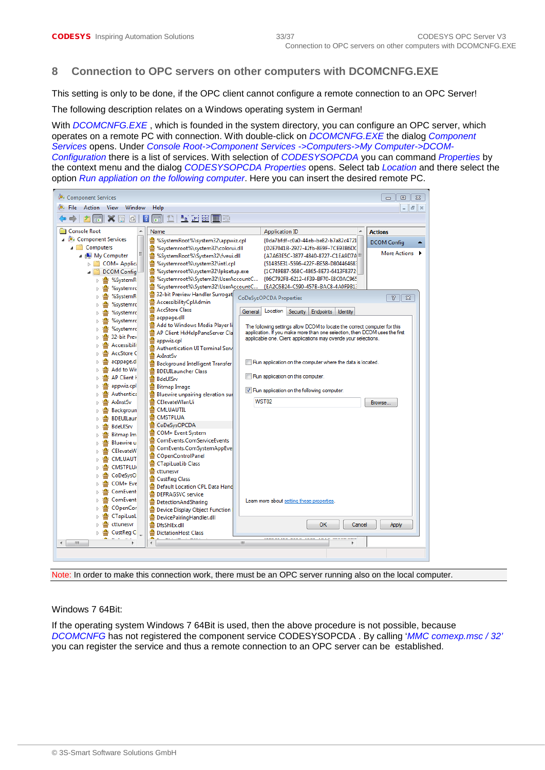# <span id="page-32-0"></span>**8 Connection to OPC servers on other computers with DCOMCNFG.EXE**

This setting is only to be done, if the OPC client cannot configure a remote connection to an OPC Server!

The following description relates on a Windows operating system in German!

With *DCOMCNFG.EXE* , which is founded in the system directory, you can configure an OPC server, which operates on a remote PC with connection. With double-click on *DCOMCNFG.EXE* the dialog *Component Services* opens. Under *Console Root->Component Services ->Computers->My Computer->DCOM-Configuration* there is a list of services. With selection of *CODESYSOPCDA* you can command *Properties* by the context menu and the dialog *CODESYSOPCDA Properties* opens. Select tab *Location* and there select the option *Run appliation on the following computer*. Here you can insert the desired remote PC.



Note: In order to make this connection work, there must be an OPC server running also on the local computer.

#### Windows 7 64Bit:

If the operating system Windows 7 64Bit is used, then the above procedure is not possible, because *DCOMCNFG* has not registered the component service CODESYSOPCDA . By calling '*MMC comexp.msc / 32'* you can register the service and thus a remote connection to an OPC server can be established.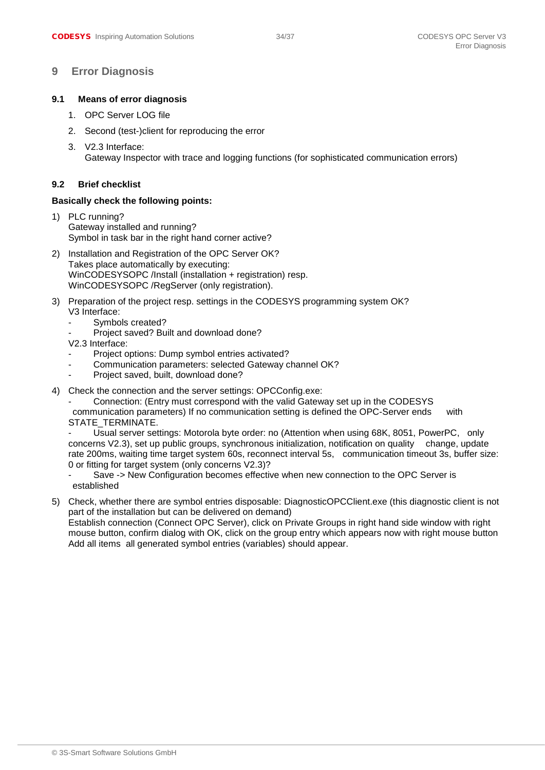### <span id="page-33-0"></span>**9 Error Diagnosis**

#### <span id="page-33-1"></span>**9.1 Means of error diagnosis**

- 1. OPC Server LOG file
- 2. Second (test-)client for reproducing the error
- 3. V2.3 Interface: Gateway Inspector with trace and logging functions (for sophisticated communication errors)

#### <span id="page-33-2"></span>**9.2 Brief checklist**

#### **Basically check the following points:**

- 1) PLC running? Gateway installed and running? Symbol in task bar in the right hand corner active?
- 2) Installation and Registration of the OPC Server OK? Takes place automatically by executing: WinCODESYSOPC /Install (installation + registration) resp. WinCODESYSOPC /RegServer (only registration).
- 3) Preparation of the project resp. settings in the CODESYS programming system OK? V3 Interface:
	- Symbols created?
	- Project saved? Built and download done?
	- V2.3 Interface:
	- Project options: Dump symbol entries activated?
	- Communication parameters: selected Gateway channel OK?
	- Project saved, built, download done?
- 4) Check the connection and the server settings: OPCConfig.exe:

Connection: (Entry must correspond with the valid Gateway set up in the CODESYS communication parameters) If no communication setting is defined the OPC-Server ends with STATE\_TERMINATE.

Usual server settings: Motorola byte order: no (Attention when using 68K, 8051, PowerPC, only concerns V2.3), set up public groups, synchronous initialization, notification on quality change, update rate 200ms, waiting time target system 60s, reconnect interval 5s, communication timeout 3s, buffer size: 0 or fitting for target system (only concerns V2.3)?

- Save -> New Configuration becomes effective when new connection to the OPC Server is established
- 5) Check, whether there are symbol entries disposable: DiagnosticOPCClient.exe (this diagnostic client is not part of the installation but can be delivered on demand) Establish connection (Connect OPC Server), click on Private Groups in right hand side window with right

mouse button, confirm dialog with OK, click on the group entry which appears now with right mouse button Add all items all generated symbol entries (variables) should appear.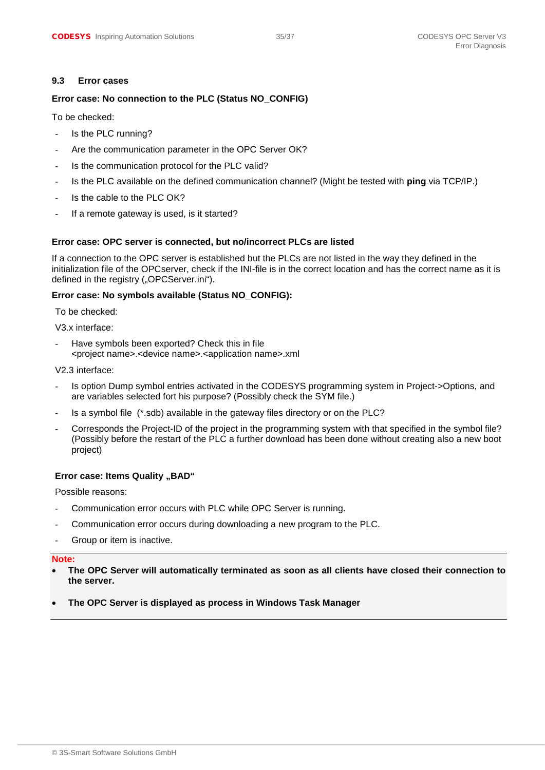#### <span id="page-34-0"></span>**9.3 Error cases**

#### **Error case: No connection to the PLC (Status NO\_CONFIG)**

To be checked:

- Is the PLC running?
- Are the communication parameter in the OPC Server OK?
- Is the communication protocol for the PLC valid?
- Is the PLC available on the defined communication channel? (Might be tested with **ping** via TCP/IP.)
- Is the cable to the PLC OK?
- If a remote gateway is used, is it started?

#### **Error case: OPC server is connected, but no/incorrect PLCs are listed**

If a connection to the OPC server is established but the PLCs are not listed in the way they defined in the initialization file of the OPCserver, check if the INI-file is in the correct location and has the correct name as it is defined in the registry ("OPCServer.ini").

#### **Error case: No symbols available (Status NO\_CONFIG):**

To be checked:

V3.x interface:

Have symbols been exported? Check this in file <project name>.<device name>.<application name>.xml

V2.3 interface:

- Is option Dump symbol entries activated in the CODESYS programming system in Project->Options, and are variables selected fort his purpose? (Possibly check the SYM file.)
- Is a symbol file (\*.sdb) available in the gateway files directory or on the PLC?
- Corresponds the Project-ID of the project in the programming system with that specified in the symbol file? (Possibly before the restart of the PLC a further download has been done without creating also a new boot project)

#### **Error case: Items Quality "BAD"**

Possible reasons:

- Communication error occurs with PLC while OPC Server is running.
- Communication error occurs during downloading a new program to the PLC.
- Group or item is inactive.

#### **Note:**

- **The OPC Server will automatically terminated as soon as all clients have closed their connection to the server.**
- **The OPC Server is displayed as process in Windows Task Manager**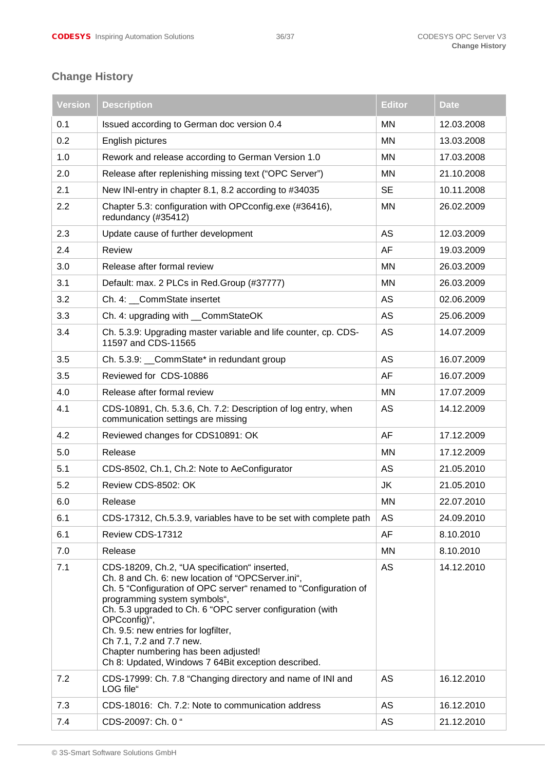# <span id="page-35-0"></span>**Change History**

| <b>Version</b> | <b>Description</b>                                                                                                                                                                                                                                                                                                                                                                                                                                    | <b>Editor</b> | <b>Date</b> |
|----------------|-------------------------------------------------------------------------------------------------------------------------------------------------------------------------------------------------------------------------------------------------------------------------------------------------------------------------------------------------------------------------------------------------------------------------------------------------------|---------------|-------------|
| 0.1            | Issued according to German doc version 0.4                                                                                                                                                                                                                                                                                                                                                                                                            | <b>MN</b>     | 12.03.2008  |
| 0.2            | English pictures                                                                                                                                                                                                                                                                                                                                                                                                                                      | <b>MN</b>     | 13.03.2008  |
| 1.0            | Rework and release according to German Version 1.0                                                                                                                                                                                                                                                                                                                                                                                                    | <b>MN</b>     | 17.03.2008  |
| 2.0            | Release after replenishing missing text ("OPC Server")                                                                                                                                                                                                                                                                                                                                                                                                | MN            | 21.10.2008  |
| 2.1            | New INI-entry in chapter 8.1, 8.2 according to #34035                                                                                                                                                                                                                                                                                                                                                                                                 | <b>SE</b>     | 10.11.2008  |
| 2.2            | Chapter 5.3: configuration with OPCconfig.exe (#36416),<br>redundancy (#35412)                                                                                                                                                                                                                                                                                                                                                                        | <b>MN</b>     | 26.02.2009  |
| 2.3            | Update cause of further development                                                                                                                                                                                                                                                                                                                                                                                                                   | AS            | 12.03.2009  |
| 2.4            | Review                                                                                                                                                                                                                                                                                                                                                                                                                                                | AF            | 19.03.2009  |
| 3.0            | Release after formal review                                                                                                                                                                                                                                                                                                                                                                                                                           | <b>MN</b>     | 26.03.2009  |
| 3.1            | Default: max. 2 PLCs in Red.Group (#37777)                                                                                                                                                                                                                                                                                                                                                                                                            | <b>MN</b>     | 26.03.2009  |
| 3.2            | Ch. 4: __CommState insertet                                                                                                                                                                                                                                                                                                                                                                                                                           | AS            | 02.06.2009  |
| 3.3            | Ch. 4: upgrading with __CommStateOK                                                                                                                                                                                                                                                                                                                                                                                                                   | AS            | 25.06.2009  |
| 3.4            | Ch. 5.3.9: Upgrading master variable and life counter, cp. CDS-<br>11597 and CDS-11565                                                                                                                                                                                                                                                                                                                                                                | AS            | 14.07.2009  |
| 3.5            | Ch. 5.3.9: __CommState* in redundant group                                                                                                                                                                                                                                                                                                                                                                                                            | <b>AS</b>     | 16.07.2009  |
| 3.5            | Reviewed for CDS-10886                                                                                                                                                                                                                                                                                                                                                                                                                                | AF            | 16.07.2009  |
| 4.0            | Release after formal review                                                                                                                                                                                                                                                                                                                                                                                                                           | <b>MN</b>     | 17.07.2009  |
| 4.1            | CDS-10891, Ch. 5.3.6, Ch. 7.2: Description of log entry, when<br>communication settings are missing                                                                                                                                                                                                                                                                                                                                                   | AS            | 14.12.2009  |
| 4.2            | Reviewed changes for CDS10891: OK                                                                                                                                                                                                                                                                                                                                                                                                                     | AF            | 17.12.2009  |
| 5.0            | Release                                                                                                                                                                                                                                                                                                                                                                                                                                               | <b>MN</b>     | 17.12.2009  |
| 5.1            | CDS-8502, Ch.1, Ch.2: Note to AeConfigurator                                                                                                                                                                                                                                                                                                                                                                                                          | AS            | 21.05.2010  |
| 5.2            | Review CDS-8502: OK                                                                                                                                                                                                                                                                                                                                                                                                                                   | JK            | 21.05.2010  |
| 6.0            | Release                                                                                                                                                                                                                                                                                                                                                                                                                                               | <b>MN</b>     | 22.07.2010  |
| 6.1            | CDS-17312, Ch.5.3.9, variables have to be set with complete path                                                                                                                                                                                                                                                                                                                                                                                      | AS            | 24.09.2010  |
| 6.1            | Review CDS-17312                                                                                                                                                                                                                                                                                                                                                                                                                                      | AF            | 8.10.2010   |
| 7.0            | Release                                                                                                                                                                                                                                                                                                                                                                                                                                               | ΜN            | 8.10.2010   |
| 7.1            | CDS-18209, Ch.2, "UA specification" inserted,<br>Ch. 8 and Ch. 6: new location of "OPCServer.ini",<br>Ch. 5 "Configuration of OPC server" renamed to "Configuration of<br>programming system symbols",<br>Ch. 5.3 upgraded to Ch. 6 "OPC server configuration (with<br>OPCconfig)",<br>Ch. 9.5: new entries for logfilter,<br>Ch 7.1, 7.2 and 7.7 new.<br>Chapter numbering has been adjusted!<br>Ch 8: Updated, Windows 7 64Bit exception described. | AS            | 14.12.2010  |
| 7.2            | CDS-17999: Ch. 7.8 "Changing directory and name of INI and<br>LOG file"                                                                                                                                                                                                                                                                                                                                                                               | AS            | 16.12.2010  |
| 7.3            | CDS-18016: Ch. 7.2: Note to communication address                                                                                                                                                                                                                                                                                                                                                                                                     | AS            | 16.12.2010  |
| 7.4            | CDS-20097: Ch. 0 "                                                                                                                                                                                                                                                                                                                                                                                                                                    | AS            | 21.12.2010  |